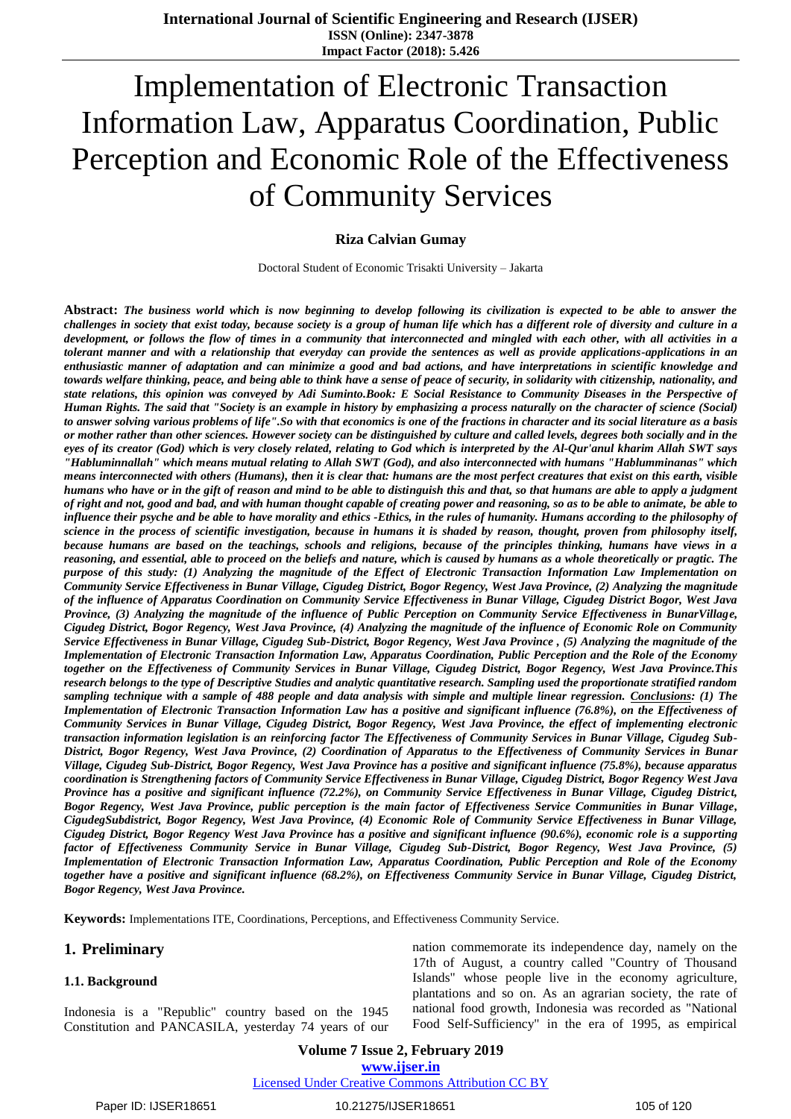# Implementation of Electronic Transaction Information Law, Apparatus Coordination, Public Perception and Economic Role of the Effectiveness of Community Services

# **Riza Calvian Gumay**

Doctoral Student of Economic Trisakti University – Jakarta

**Abstract:** *The business world which is now beginning to develop following its civilization is expected to be able to answer the challenges in society that exist today, because society is a group of human life which has a different role of diversity and culture in a development, or follows the flow of times in a community that interconnected and mingled with each other, with all activities in a tolerant manner and with a relationship that everyday can provide the sentences as well as provide applications-applications in an enthusiastic manner of adaptation and can minimize a good and bad actions, and have interpretations in scientific knowledge and towards welfare thinking, peace, and being able to think have a sense of peace of security, in solidarity with citizenship, nationality, and state relations, this opinion was conveyed by Adi Suminto.Book: E Social Resistance to Community Diseases in the Perspective of Human Rights. The said that "Society is an example in history by emphasizing a process naturally on the character of science (Social) to answer solving various problems of life".So with that economics is one of the fractions in character and its social literature as a basis or mother rather than other sciences. However society can be distinguished by culture and called levels, degrees both socially and in the eyes of its creator (God) which is very closely related, relating to God which is interpreted by the Al-Qur'anul kharim Allah SWT says "Habluminnallah" which means mutual relating to Allah SWT (God), and also interconnected with humans "Hablumminanas" which means interconnected with others (Humans), then it is clear that: humans are the most perfect creatures that exist on this earth, visible humans who have or in the gift of reason and mind to be able to distinguish this and that, so that humans are able to apply a judgment of right and not, good and bad, and with human thought capable of creating power and reasoning, so as to be able to animate, be able to influence their psyche and be able to have morality and ethics -Ethics, in the rules of humanity. Humans according to the philosophy of science in the process of scientific investigation, because in humans it is shaded by reason, thought, proven from philosophy itself, because humans are based on the teachings, schools and religions, because of the principles thinking, humans have views in a reasoning, and essential, able to proceed on the beliefs and nature, which is caused by humans as a whole theoretically or pragtic. The purpose of this study: (1) Analyzing the magnitude of the Effect of Electronic Transaction Information Law Implementation on Community Service Effectiveness in Bunar Village, Cigudeg District, Bogor Regency, West Java Province, (2) Analyzing the magnitude of the influence of Apparatus Coordination on Community Service Effectiveness in Bunar Village, Cigudeg District Bogor, West Java Province, (3) Analyzing the magnitude of the influence of Public Perception on Community Service Effectiveness in BunarVillage, Cigudeg District, Bogor Regency, West Java Province, (4) Analyzing the magnitude of the influence of Economic Role on Community Service Effectiveness in Bunar Village, Cigudeg Sub-District, Bogor Regency, West Java Province , (5) Analyzing the magnitude of the Implementation of Electronic Transaction Information Law, Apparatus Coordination, Public Perception and the Role of the Economy together on the Effectiveness of Community Services in Bunar Village, Cigudeg District, Bogor Regency, West Java Province.This research belongs to the type of Descriptive Studies and analytic quantitative research. Sampling used the proportionate stratified random sampling technique with a sample of 488 people and data analysis with simple and multiple linear regression. Conclusions: (1) The Implementation of Electronic Transaction Information Law has a positive and significant influence (76.8%), on the Effectiveness of Community Services in Bunar Village, Cigudeg District, Bogor Regency, West Java Province, the effect of implementing electronic transaction information legislation is an reinforcing factor The Effectiveness of Community Services in Bunar Village, Cigudeg Sub-District, Bogor Regency, West Java Province, (2) Coordination of Apparatus to the Effectiveness of Community Services in Bunar Village, Cigudeg Sub-District, Bogor Regency, West Java Province has a positive and significant influence (75.8%), because apparatus coordination is Strengthening factors of Community Service Effectiveness in Bunar Village, Cigudeg District, Bogor Regency West Java Province has a positive and significant influence (72.2%), on Community Service Effectiveness in Bunar Village, Cigudeg District, Bogor Regency, West Java Province, public perception is the main factor of Effectiveness Service Communities in Bunar Village, CigudegSubdistrict, Bogor Regency, West Java Province, (4) Economic Role of Community Service Effectiveness in Bunar Village, Cigudeg District, Bogor Regency West Java Province has a positive and significant influence (90.6%), economic role is a supporting factor of Effectiveness Community Service in Bunar Village, Cigudeg Sub-District, Bogor Regency, West Java Province, (5) Implementation of Electronic Transaction Information Law, Apparatus Coordination, Public Perception and Role of the Economy together have a positive and significant influence (68.2%), on Effectiveness Community Service in Bunar Village, Cigudeg District, Bogor Regency, West Java Province.*

**Keywords:** Implementations ITE, Coordinations, Perceptions, and Effectiveness Community Service.

# **1. Preliminary**

#### **1.1. Background**

Indonesia is a "Republic" country based on the 1945 Constitution and PANCASILA, yesterday 74 years of our nation commemorate its independence day, namely on the 17th of August, a country called "Country of Thousand Islands" whose people live in the economy agriculture, plantations and so on. As an agrarian society, the rate of national food growth, Indonesia was recorded as "National Food Self-Sufficiency" in the era of 1995, as empirical

**Volume 7 Issue 2, February 2019 www.ijser.in**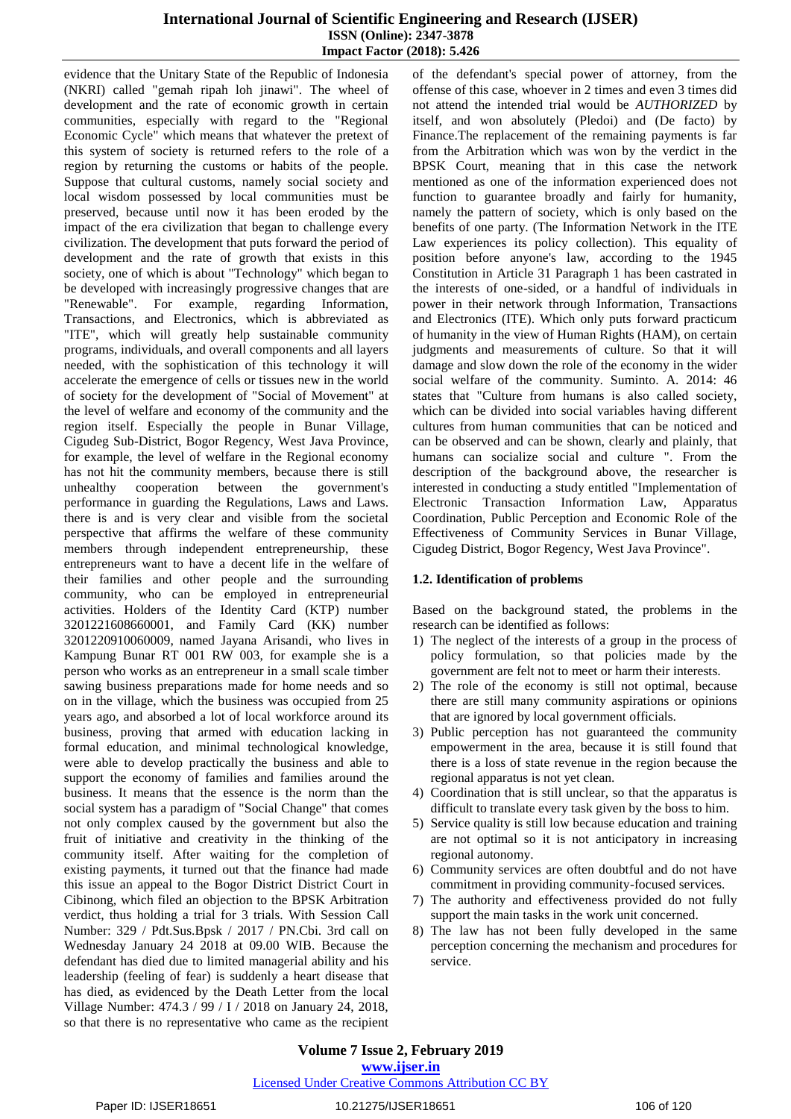evidence that the Unitary State of the Republic of Indonesia (NKRI) called "gemah ripah loh jinawi". The wheel of development and the rate of economic growth in certain communities, especially with regard to the "Regional Economic Cycle" which means that whatever the pretext of this system of society is returned refers to the role of a region by returning the customs or habits of the people. Suppose that cultural customs, namely social society and local wisdom possessed by local communities must be preserved, because until now it has been eroded by the impact of the era civilization that began to challenge every civilization. The development that puts forward the period of development and the rate of growth that exists in this society, one of which is about "Technology" which began to be developed with increasingly progressive changes that are "Renewable". For example, regarding Information, Transactions, and Electronics, which is abbreviated as "ITE", which will greatly help sustainable community programs, individuals, and overall components and all layers needed, with the sophistication of this technology it will accelerate the emergence of cells or tissues new in the world of society for the development of "Social of Movement" at the level of welfare and economy of the community and the region itself. Especially the people in Bunar Village, Cigudeg Sub-District, Bogor Regency, West Java Province, for example, the level of welfare in the Regional economy has not hit the community members, because there is still unhealthy cooperation between the government's performance in guarding the Regulations, Laws and Laws. there is and is very clear and visible from the societal perspective that affirms the welfare of these community members through independent entrepreneurship, these entrepreneurs want to have a decent life in the welfare of their families and other people and the surrounding community, who can be employed in entrepreneurial activities. Holders of the Identity Card (KTP) number 3201221608660001, and Family Card (KK) number 3201220910060009, named Jayana Arisandi, who lives in Kampung Bunar RT 001 RW 003, for example she is a person who works as an entrepreneur in a small scale timber sawing business preparations made for home needs and so on in the village, which the business was occupied from 25 years ago, and absorbed a lot of local workforce around its business, proving that armed with education lacking in formal education, and minimal technological knowledge, were able to develop practically the business and able to support the economy of families and families around the business. It means that the essence is the norm than the social system has a paradigm of "Social Change" that comes not only complex caused by the government but also the fruit of initiative and creativity in the thinking of the community itself. After waiting for the completion of existing payments, it turned out that the finance had made this issue an appeal to the Bogor District District Court in Cibinong, which filed an objection to the BPSK Arbitration verdict, thus holding a trial for 3 trials. With Session Call Number: 329 / Pdt.Sus.Bpsk / 2017 / PN.Cbi. 3rd call on Wednesday January 24 2018 at 09.00 WIB. Because the defendant has died due to limited managerial ability and his leadership (feeling of fear) is suddenly a heart disease that has died, as evidenced by the Death Letter from the local Village Number: 474.3 / 99 / I / 2018 on January 24, 2018, so that there is no representative who came as the recipient of the defendant's special power of attorney, from the offense of this case, whoever in 2 times and even 3 times did not attend the intended trial would be *AUTHORIZED* by itself, and won absolutely (Pledoi) and (De facto) by Finance.The replacement of the remaining payments is far from the Arbitration which was won by the verdict in the BPSK Court, meaning that in this case the network mentioned as one of the information experienced does not function to guarantee broadly and fairly for humanity, namely the pattern of society, which is only based on the benefits of one party. (The Information Network in the ITE Law experiences its policy collection). This equality of position before anyone's law, according to the 1945 Constitution in Article 31 Paragraph 1 has been castrated in the interests of one-sided, or a handful of individuals in power in their network through Information, Transactions and Electronics (ITE). Which only puts forward practicum of humanity in the view of Human Rights (HAM), on certain judgments and measurements of culture. So that it will damage and slow down the role of the economy in the wider social welfare of the community. Suminto. A. 2014: 46 states that "Culture from humans is also called society, which can be divided into social variables having different cultures from human communities that can be noticed and can be observed and can be shown, clearly and plainly, that humans can socialize social and culture ". From the description of the background above, the researcher is interested in conducting a study entitled "Implementation of Electronic Transaction Information Law, Apparatus Coordination, Public Perception and Economic Role of the Effectiveness of Community Services in Bunar Village, Cigudeg District, Bogor Regency, West Java Province".

#### **1.2. Identification of problems**

Based on the background stated, the problems in the research can be identified as follows:

- 1) The neglect of the interests of a group in the process of policy formulation, so that policies made by the government are felt not to meet or harm their interests.
- 2) The role of the economy is still not optimal, because there are still many community aspirations or opinions that are ignored by local government officials.
- 3) Public perception has not guaranteed the community empowerment in the area, because it is still found that there is a loss of state revenue in the region because the regional apparatus is not yet clean.
- 4) Coordination that is still unclear, so that the apparatus is difficult to translate every task given by the boss to him.
- 5) Service quality is still low because education and training are not optimal so it is not anticipatory in increasing regional autonomy.
- 6) Community services are often doubtful and do not have commitment in providing community-focused services.
- 7) The authority and effectiveness provided do not fully support the main tasks in the work unit concerned.
- 8) The law has not been fully developed in the same perception concerning the mechanism and procedures for service.

**Volume 7 Issue 2, February 2019 www.ijser.in**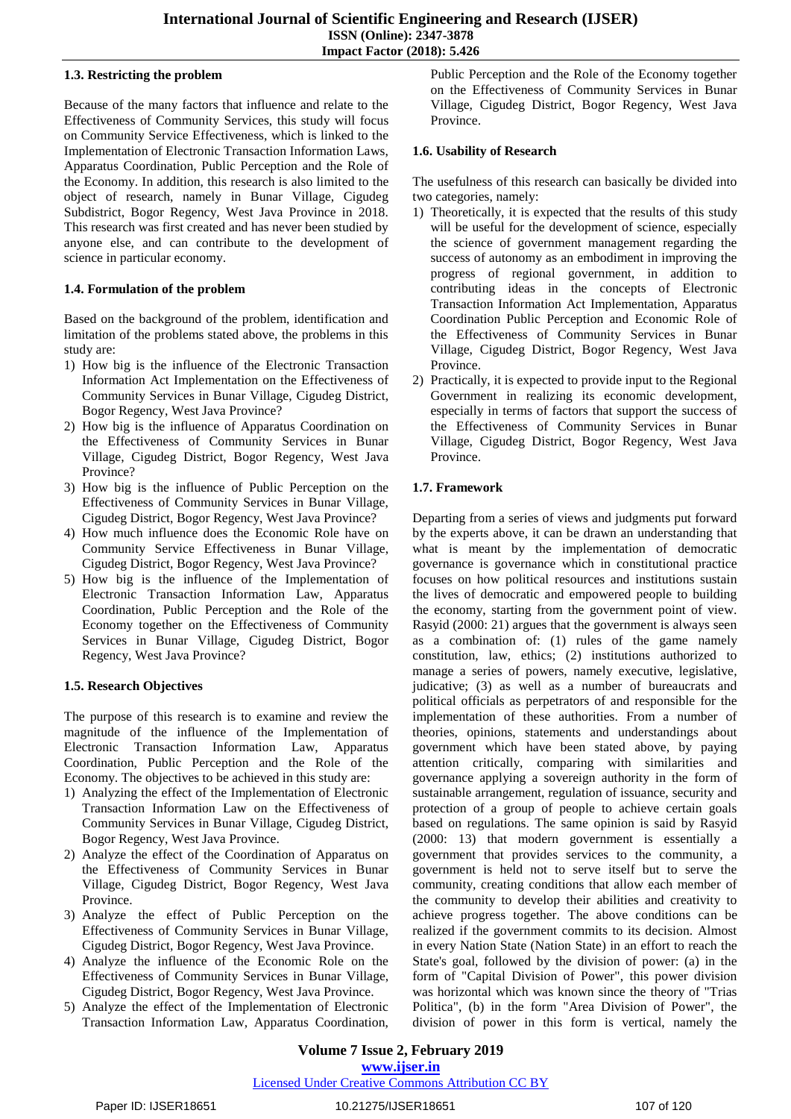# **1.3. Restricting the problem**

Because of the many factors that influence and relate to the Effectiveness of Community Services, this study will focus on Community Service Effectiveness, which is linked to the Implementation of Electronic Transaction Information Laws, Apparatus Coordination, Public Perception and the Role of the Economy. In addition, this research is also limited to the object of research, namely in Bunar Village, Cigudeg Subdistrict, Bogor Regency, West Java Province in 2018. This research was first created and has never been studied by anyone else, and can contribute to the development of science in particular economy.

# **1.4. Formulation of the problem**

Based on the background of the problem, identification and limitation of the problems stated above, the problems in this study are:

- 1) How big is the influence of the Electronic Transaction Information Act Implementation on the Effectiveness of Community Services in Bunar Village, Cigudeg District, Bogor Regency, West Java Province?
- 2) How big is the influence of Apparatus Coordination on the Effectiveness of Community Services in Bunar Village, Cigudeg District, Bogor Regency, West Java Province?
- 3) How big is the influence of Public Perception on the Effectiveness of Community Services in Bunar Village, Cigudeg District, Bogor Regency, West Java Province?
- 4) How much influence does the Economic Role have on Community Service Effectiveness in Bunar Village, Cigudeg District, Bogor Regency, West Java Province?
- 5) How big is the influence of the Implementation of Electronic Transaction Information Law, Apparatus Coordination, Public Perception and the Role of the Economy together on the Effectiveness of Community Services in Bunar Village, Cigudeg District, Bogor Regency, West Java Province?

# **1.5. Research Objectives**

The purpose of this research is to examine and review the magnitude of the influence of the Implementation of Electronic Transaction Information Law, Apparatus Coordination, Public Perception and the Role of the Economy. The objectives to be achieved in this study are:

- 1) Analyzing the effect of the Implementation of Electronic Transaction Information Law on the Effectiveness of Community Services in Bunar Village, Cigudeg District, Bogor Regency, West Java Province.
- 2) Analyze the effect of the Coordination of Apparatus on the Effectiveness of Community Services in Bunar Village, Cigudeg District, Bogor Regency, West Java Province.
- 3) Analyze the effect of Public Perception on the Effectiveness of Community Services in Bunar Village, Cigudeg District, Bogor Regency, West Java Province.
- 4) Analyze the influence of the Economic Role on the Effectiveness of Community Services in Bunar Village, Cigudeg District, Bogor Regency, West Java Province.
- 5) Analyze the effect of the Implementation of Electronic Transaction Information Law, Apparatus Coordination,

Public Perception and the Role of the Economy together on the Effectiveness of Community Services in Bunar Village, Cigudeg District, Bogor Regency, West Java Province.

# **1.6. Usability of Research**

The usefulness of this research can basically be divided into two categories, namely:

- 1) Theoretically, it is expected that the results of this study will be useful for the development of science, especially the science of government management regarding the success of autonomy as an embodiment in improving the progress of regional government, in addition to contributing ideas in the concepts of Electronic Transaction Information Act Implementation, Apparatus Coordination Public Perception and Economic Role of the Effectiveness of Community Services in Bunar Village, Cigudeg District, Bogor Regency, West Java Province.
- 2) Practically, it is expected to provide input to the Regional Government in realizing its economic development, especially in terms of factors that support the success of the Effectiveness of Community Services in Bunar Village, Cigudeg District, Bogor Regency, West Java Province.

# **1.7. Framework**

Departing from a series of views and judgments put forward by the experts above, it can be drawn an understanding that what is meant by the implementation of democratic governance is governance which in constitutional practice focuses on how political resources and institutions sustain the lives of democratic and empowered people to building the economy, starting from the government point of view. Rasyid (2000: 21) argues that the government is always seen as a combination of: (1) rules of the game namely constitution, law, ethics; (2) institutions authorized to manage a series of powers, namely executive, legislative, judicative; (3) as well as a number of bureaucrats and political officials as perpetrators of and responsible for the implementation of these authorities. From a number of theories, opinions, statements and understandings about government which have been stated above, by paying attention critically, comparing with similarities and governance applying a sovereign authority in the form of sustainable arrangement, regulation of issuance, security and protection of a group of people to achieve certain goals based on regulations. The same opinion is said by Rasyid (2000: 13) that modern government is essentially a government that provides services to the community, a government is held not to serve itself but to serve the community, creating conditions that allow each member of the community to develop their abilities and creativity to achieve progress together. The above conditions can be realized if the government commits to its decision. Almost in every Nation State (Nation State) in an effort to reach the State's goal, followed by the division of power: (a) in the form of "Capital Division of Power", this power division was horizontal which was known since the theory of "Trias Politica", (b) in the form "Area Division of Power", the division of power in this form is vertical, namely the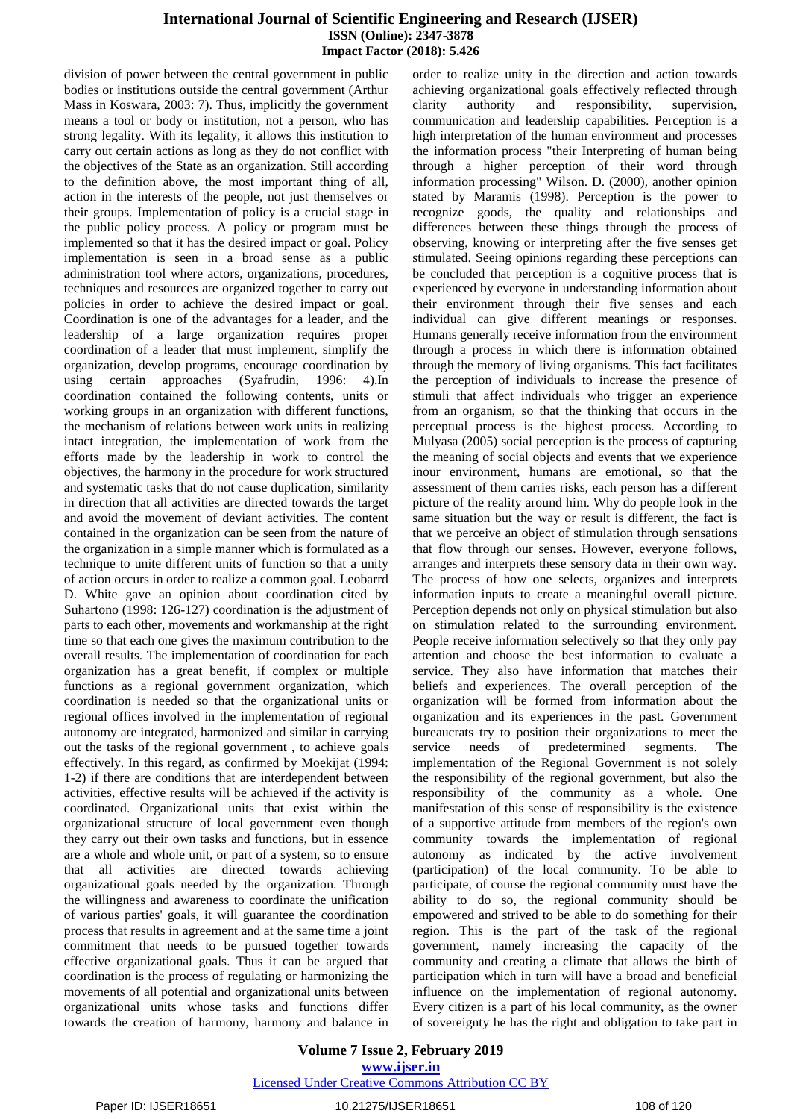division of power between the central government in public bodies or institutions outside the central government (Arthur Mass in Koswara, 2003: 7). Thus, implicitly the government means a tool or body or institution, not a person, who has strong legality. With its legality, it allows this institution to carry out certain actions as long as they do not conflict with the objectives of the State as an organization. Still according to the definition above, the most important thing of all, action in the interests of the people, not just themselves or their groups. Implementation of policy is a crucial stage in the public policy process. A policy or program must be implemented so that it has the desired impact or goal. Policy implementation is seen in a broad sense as a public administration tool where actors, organizations, procedures, techniques and resources are organized together to carry out policies in order to achieve the desired impact or goal. Coordination is one of the advantages for a leader, and the leadership of a large organization requires proper coordination of a leader that must implement, simplify the organization, develop programs, encourage coordination by using certain approaches (Syafrudin, 1996: 4).In coordination contained the following contents, units or working groups in an organization with different functions, the mechanism of relations between work units in realizing intact integration, the implementation of work from the efforts made by the leadership in work to control the objectives, the harmony in the procedure for work structured and systematic tasks that do not cause duplication, similarity in direction that all activities are directed towards the target and avoid the movement of deviant activities. The content contained in the organization can be seen from the nature of the organization in a simple manner which is formulated as a technique to unite different units of function so that a unity of action occurs in order to realize a common goal. Leobarrd D. White gave an opinion about coordination cited by Suhartono (1998: 126-127) coordination is the adjustment of parts to each other, movements and workmanship at the right time so that each one gives the maximum contribution to the overall results. The implementation of coordination for each organization has a great benefit, if complex or multiple functions as a regional government organization, which coordination is needed so that the organizational units or regional offices involved in the implementation of regional autonomy are integrated, harmonized and similar in carrying out the tasks of the regional government , to achieve goals effectively. In this regard, as confirmed by Moekijat (1994: 1-2) if there are conditions that are interdependent between activities, effective results will be achieved if the activity is coordinated. Organizational units that exist within the organizational structure of local government even though they carry out their own tasks and functions, but in essence are a whole and whole unit, or part of a system, so to ensure that all activities are directed towards achieving organizational goals needed by the organization. Through the willingness and awareness to coordinate the unification of various parties' goals, it will guarantee the coordination process that results in agreement and at the same time a joint commitment that needs to be pursued together towards effective organizational goals. Thus it can be argued that coordination is the process of regulating or harmonizing the movements of all potential and organizational units between organizational units whose tasks and functions differ towards the creation of harmony, harmony and balance in

order to realize unity in the direction and action towards achieving organizational goals effectively reflected through clarity authority and responsibility, supervision, communication and leadership capabilities. Perception is a high interpretation of the human environment and processes the information process "their Interpreting of human being through a higher perception of their word through information processing" Wilson. D. (2000), another opinion stated by Maramis (1998). Perception is the power to recognize goods, the quality and relationships and differences between these things through the process of observing, knowing or interpreting after the five senses get stimulated. Seeing opinions regarding these perceptions can be concluded that perception is a cognitive process that is experienced by everyone in understanding information about their environment through their five senses and each individual can give different meanings or responses. Humans generally receive information from the environment through a process in which there is information obtained through the memory of living organisms. This fact facilitates the perception of individuals to increase the presence of stimuli that affect individuals who trigger an experience from an organism, so that the thinking that occurs in the perceptual process is the highest process. According to Mulyasa (2005) social perception is the process of capturing the meaning of social objects and events that we experience inour environment, humans are emotional, so that the assessment of them carries risks, each person has a different picture of the reality around him. Why do people look in the same situation but the way or result is different, the fact is that we perceive an object of stimulation through sensations that flow through our senses. However, everyone follows, arranges and interprets these sensory data in their own way. The process of how one selects, organizes and interprets information inputs to create a meaningful overall picture. Perception depends not only on physical stimulation but also on stimulation related to the surrounding environment. People receive information selectively so that they only pay attention and choose the best information to evaluate a service. They also have information that matches their beliefs and experiences. The overall perception of the organization will be formed from information about the organization and its experiences in the past. Government bureaucrats try to position their organizations to meet the service needs of predetermined segments. The implementation of the Regional Government is not solely the responsibility of the regional government, but also the responsibility of the community as a whole. One manifestation of this sense of responsibility is the existence of a supportive attitude from members of the region's own community towards the implementation of regional autonomy as indicated by the active involvement (participation) of the local community. To be able to participate, of course the regional community must have the ability to do so, the regional community should be empowered and strived to be able to do something for their region. This is the part of the task of the regional government, namely increasing the capacity of the community and creating a climate that allows the birth of participation which in turn will have a broad and beneficial influence on the implementation of regional autonomy. Every citizen is a part of his local community, as the owner of sovereignty he has the right and obligation to take part in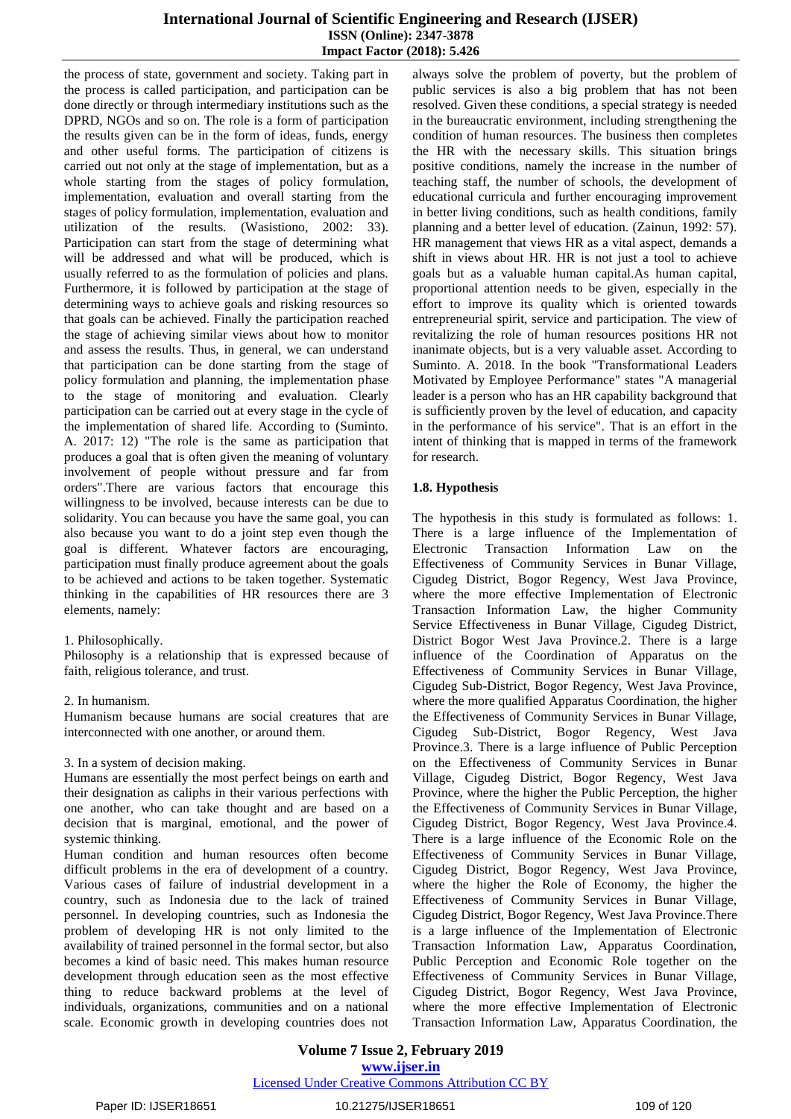the process of state, government and society. Taking part in the process is called participation, and participation can be done directly or through intermediary institutions such as the DPRD, NGOs and so on. The role is a form of participation the results given can be in the form of ideas, funds, energy and other useful forms. The participation of citizens is carried out not only at the stage of implementation, but as a whole starting from the stages of policy formulation, implementation, evaluation and overall starting from the stages of policy formulation, implementation, evaluation and utilization of the results. (Wasistiono, 2002: 33). Participation can start from the stage of determining what will be addressed and what will be produced, which is usually referred to as the formulation of policies and plans. Furthermore, it is followed by participation at the stage of determining ways to achieve goals and risking resources so that goals can be achieved. Finally the participation reached the stage of achieving similar views about how to monitor and assess the results. Thus, in general, we can understand that participation can be done starting from the stage of policy formulation and planning, the implementation phase to the stage of monitoring and evaluation. Clearly participation can be carried out at every stage in the cycle of the implementation of shared life. According to (Suminto. A. 2017: 12) "The role is the same as participation that produces a goal that is often given the meaning of voluntary involvement of people without pressure and far from orders".There are various factors that encourage this willingness to be involved, because interests can be due to solidarity. You can because you have the same goal, you can also because you want to do a joint step even though the goal is different. Whatever factors are encouraging, participation must finally produce agreement about the goals to be achieved and actions to be taken together. Systematic thinking in the capabilities of HR resources there are 3 elements, namely:

#### 1. Philosophically.

Philosophy is a relationship that is expressed because of faith, religious tolerance, and trust.

#### 2. In humanism.

Humanism because humans are social creatures that are interconnected with one another, or around them.

#### 3. In a system of decision making.

Humans are essentially the most perfect beings on earth and their designation as caliphs in their various perfections with one another, who can take thought and are based on a decision that is marginal, emotional, and the power of systemic thinking.

Human condition and human resources often become difficult problems in the era of development of a country. Various cases of failure of industrial development in a country, such as Indonesia due to the lack of trained personnel. In developing countries, such as Indonesia the problem of developing HR is not only limited to the availability of trained personnel in the formal sector, but also becomes a kind of basic need. This makes human resource development through education seen as the most effective thing to reduce backward problems at the level of individuals, organizations, communities and on a national scale. Economic growth in developing countries does not always solve the problem of poverty, but the problem of public services is also a big problem that has not been resolved. Given these conditions, a special strategy is needed in the bureaucratic environment, including strengthening the condition of human resources. The business then completes the HR with the necessary skills. This situation brings positive conditions, namely the increase in the number of teaching staff, the number of schools, the development of educational curricula and further encouraging improvement in better living conditions, such as health conditions, family planning and a better level of education. (Zainun, 1992: 57). HR management that views HR as a vital aspect, demands a shift in views about HR. HR is not just a tool to achieve goals but as a valuable human capital.As human capital, proportional attention needs to be given, especially in the effort to improve its quality which is oriented towards entrepreneurial spirit, service and participation. The view of revitalizing the role of human resources positions HR not inanimate objects, but is a very valuable asset. According to Suminto. A. 2018. In the book "Transformational Leaders Motivated by Employee Performance" states "A managerial leader is a person who has an HR capability background that is sufficiently proven by the level of education, and capacity in the performance of his service". That is an effort in the intent of thinking that is mapped in terms of the framework for research.

#### **1.8. Hypothesis**

The hypothesis in this study is formulated as follows: 1. There is a large influence of the Implementation of Electronic Transaction Information Law on the Effectiveness of Community Services in Bunar Village, Cigudeg District, Bogor Regency, West Java Province, where the more effective Implementation of Electronic Transaction Information Law, the higher Community Service Effectiveness in Bunar Village, Cigudeg District, District Bogor West Java Province.2. There is a large influence of the Coordination of Apparatus on the Effectiveness of Community Services in Bunar Village, Cigudeg Sub-District, Bogor Regency, West Java Province, where the more qualified Apparatus Coordination, the higher the Effectiveness of Community Services in Bunar Village, Cigudeg Sub-District, Bogor Regency, West Java Province.3. There is a large influence of Public Perception on the Effectiveness of Community Services in Bunar Village, Cigudeg District, Bogor Regency, West Java Province, where the higher the Public Perception, the higher the Effectiveness of Community Services in Bunar Village, Cigudeg District, Bogor Regency, West Java Province.4. There is a large influence of the Economic Role on the Effectiveness of Community Services in Bunar Village, Cigudeg District, Bogor Regency, West Java Province, where the higher the Role of Economy, the higher the Effectiveness of Community Services in Bunar Village, Cigudeg District, Bogor Regency, West Java Province.There is a large influence of the Implementation of Electronic Transaction Information Law, Apparatus Coordination, Public Perception and Economic Role together on the Effectiveness of Community Services in Bunar Village, Cigudeg District, Bogor Regency, West Java Province, where the more effective Implementation of Electronic Transaction Information Law, Apparatus Coordination, the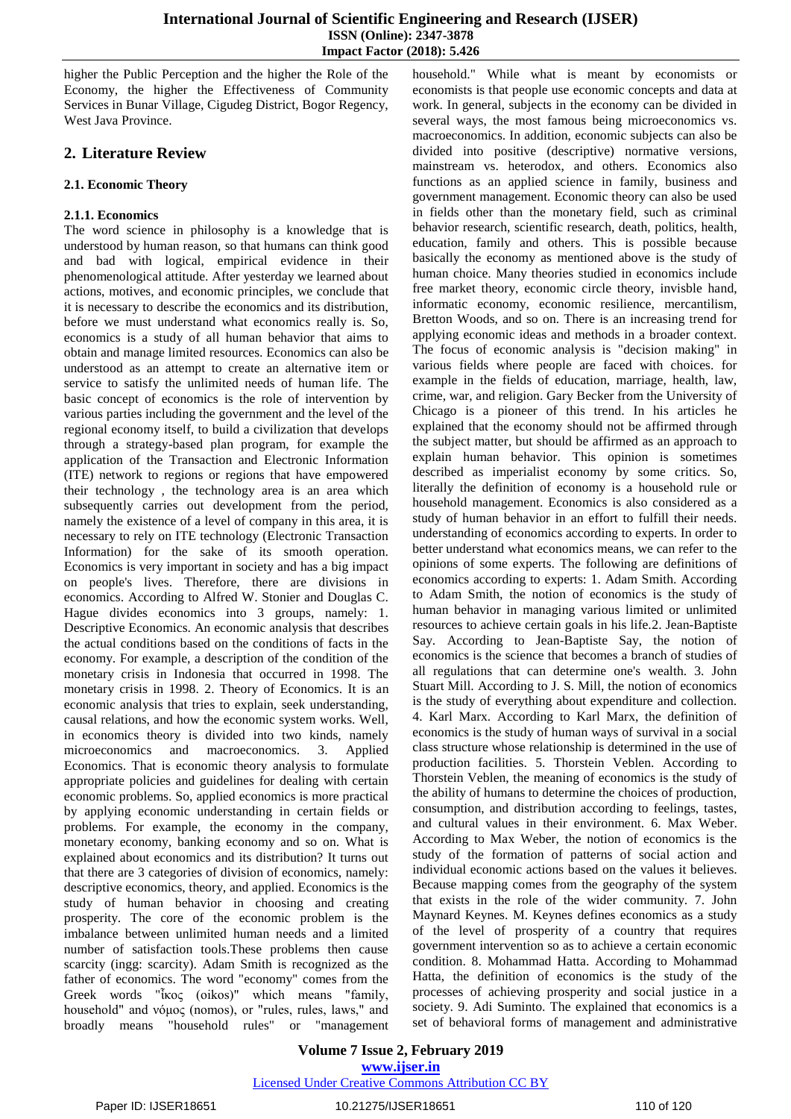higher the Public Perception and the higher the Role of the Economy, the higher the Effectiveness of Community Services in Bunar Village, Cigudeg District, Bogor Regency, West Java Province.

# **2. Literature Review**

# **2.1. Economic Theory**

# **2.1.1. Economics**

The word science in philosophy is a knowledge that is understood by human reason, so that humans can think good and bad with logical, empirical evidence in their phenomenological attitude. After yesterday we learned about actions, motives, and economic principles, we conclude that it is necessary to describe the economics and its distribution, before we must understand what economics really is. So, economics is a study of all human behavior that aims to obtain and manage limited resources. Economics can also be understood as an attempt to create an alternative item or service to satisfy the unlimited needs of human life. The basic concept of economics is the role of intervention by various parties including the government and the level of the regional economy itself, to build a civilization that develops through a strategy-based plan program, for example the application of the Transaction and Electronic Information (ITE) network to regions or regions that have empowered their technology , the technology area is an area which subsequently carries out development from the period, namely the existence of a level of company in this area, it is necessary to rely on ITE technology (Electronic Transaction Information) for the sake of its smooth operation. Economics is very important in society and has a big impact on people's lives. Therefore, there are divisions in economics. According to Alfred W. Stonier and Douglas C. Hague divides economics into 3 groups, namely: 1. Descriptive Economics. An economic analysis that describes the actual conditions based on the conditions of facts in the economy. For example, a description of the condition of the monetary crisis in Indonesia that occurred in 1998. The monetary crisis in 1998. 2. Theory of Economics. It is an economic analysis that tries to explain, seek understanding, causal relations, and how the economic system works. Well, in economics theory is divided into two kinds, namely microeconomics and macroeconomics. 3. Applied Economics. That is economic theory analysis to formulate appropriate policies and guidelines for dealing with certain economic problems. So, applied economics is more practical by applying economic understanding in certain fields or problems. For example, the economy in the company, monetary economy, banking economy and so on. What is explained about economics and its distribution? It turns out that there are 3 categories of division of economics, namely: descriptive economics, theory, and applied. Economics is the study of human behavior in choosing and creating prosperity. The core of the economic problem is the imbalance between unlimited human needs and a limited number of satisfaction tools.These problems then cause scarcity (ingg: scarcity). Adam Smith is recognized as the father of economics. The word "economy" comes from the Greek words "ἶκος (oikos)" which means "family, household" and νόμος (nomos), or "rules, rules, laws," and broadly means "household rules" or "management household." While what is meant by economists or economists is that people use economic concepts and data at work. In general, subjects in the economy can be divided in several ways, the most famous being microeconomics vs. macroeconomics. In addition, economic subjects can also be divided into positive (descriptive) normative versions, mainstream vs. heterodox, and others. Economics also functions as an applied science in family, business and government management. Economic theory can also be used in fields other than the monetary field, such as criminal behavior research, scientific research, death, politics, health, education, family and others. This is possible because basically the economy as mentioned above is the study of human choice. Many theories studied in economics include free market theory, economic circle theory, invisble hand, informatic economy, economic resilience, mercantilism, Bretton Woods, and so on. There is an increasing trend for applying economic ideas and methods in a broader context. The focus of economic analysis is "decision making" in various fields where people are faced with choices. for example in the fields of education, marriage, health, law, crime, war, and religion. Gary Becker from the University of Chicago is a pioneer of this trend. In his articles he explained that the economy should not be affirmed through the subject matter, but should be affirmed as an approach to explain human behavior. This opinion is sometimes described as imperialist economy by some critics. So, literally the definition of economy is a household rule or household management. Economics is also considered as a study of human behavior in an effort to fulfill their needs. understanding of economics according to experts. In order to better understand what economics means, we can refer to the opinions of some experts. The following are definitions of economics according to experts: 1. Adam Smith. According to Adam Smith, the notion of economics is the study of human behavior in managing various limited or unlimited resources to achieve certain goals in his life.2. Jean-Baptiste Say. According to Jean-Baptiste Say, the notion of economics is the science that becomes a branch of studies of all regulations that can determine one's wealth. 3. John Stuart Mill. According to J. S. Mill, the notion of economics is the study of everything about expenditure and collection. 4. Karl Marx. According to Karl Marx, the definition of economics is the study of human ways of survival in a social class structure whose relationship is determined in the use of production facilities. 5. Thorstein Veblen. According to Thorstein Veblen, the meaning of economics is the study of the ability of humans to determine the choices of production, consumption, and distribution according to feelings, tastes, and cultural values in their environment. 6. Max Weber. According to Max Weber, the notion of economics is the study of the formation of patterns of social action and individual economic actions based on the values it believes. Because mapping comes from the geography of the system that exists in the role of the wider community. 7. John Maynard Keynes. M. Keynes defines economics as a study of the level of prosperity of a country that requires government intervention so as to achieve a certain economic condition. 8. Mohammad Hatta. According to Mohammad Hatta, the definition of economics is the study of the processes of achieving prosperity and social justice in a society. 9. Adi Suminto. The explained that economics is a set of behavioral forms of management and administrative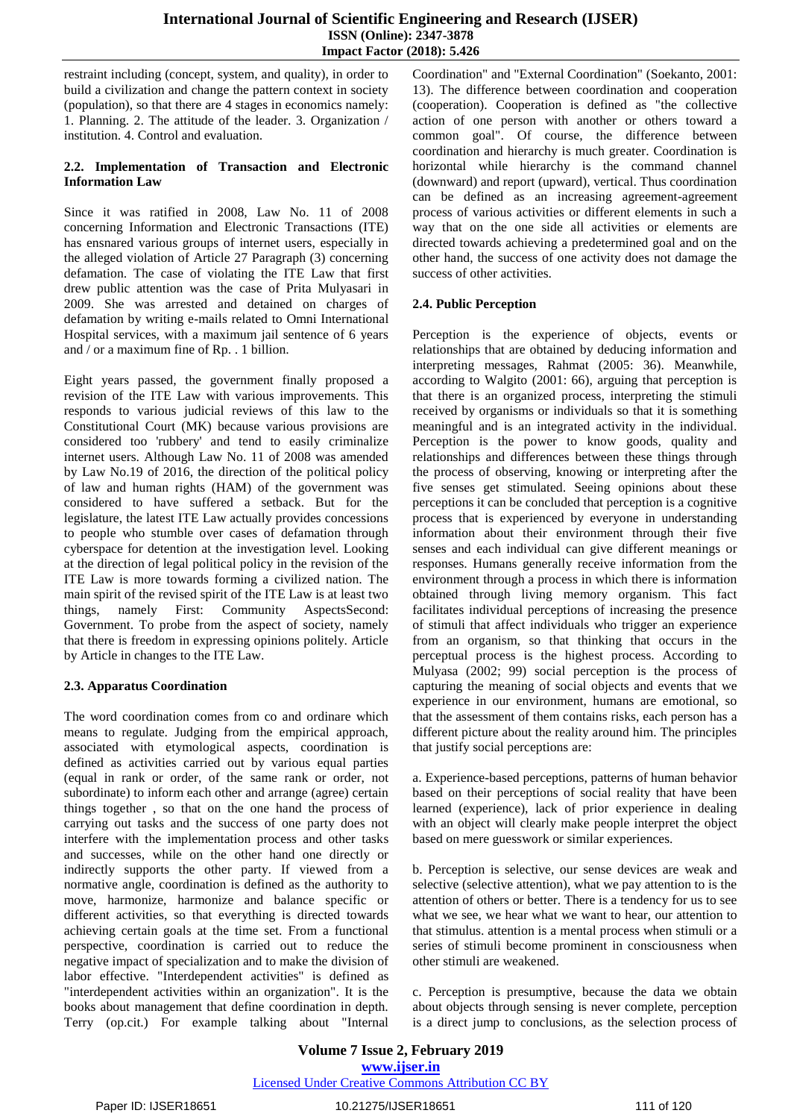restraint including (concept, system, and quality), in order to build a civilization and change the pattern context in society (population), so that there are 4 stages in economics namely: 1. Planning. 2. The attitude of the leader. 3. Organization / institution. 4. Control and evaluation.

### **2.2. Implementation of Transaction and Electronic Information Law**

Since it was ratified in 2008, Law No. 11 of 2008 concerning Information and Electronic Transactions (ITE) has ensnared various groups of internet users, especially in the alleged violation of Article 27 Paragraph (3) concerning defamation. The case of violating the ITE Law that first drew public attention was the case of Prita Mulyasari in 2009. She was arrested and detained on charges of defamation by writing e-mails related to Omni International Hospital services, with a maximum jail sentence of 6 years and / or a maximum fine of Rp. . 1 billion.

Eight years passed, the government finally proposed a revision of the ITE Law with various improvements. This responds to various judicial reviews of this law to the Constitutional Court (MK) because various provisions are considered too 'rubbery' and tend to easily criminalize internet users. Although Law No. 11 of 2008 was amended by Law No.19 of 2016, the direction of the political policy of law and human rights (HAM) of the government was considered to have suffered a setback. But for the legislature, the latest ITE Law actually provides concessions to people who stumble over cases of defamation through cyberspace for detention at the investigation level. Looking at the direction of legal political policy in the revision of the ITE Law is more towards forming a civilized nation. The main spirit of the revised spirit of the ITE Law is at least two things, namely First: Community AspectsSecond: Government. To probe from the aspect of society, namely that there is freedom in expressing opinions politely. Article by Article in changes to the ITE Law.

# **2.3. Apparatus Coordination**

The word coordination comes from co and ordinare which means to regulate. Judging from the empirical approach, associated with etymological aspects, coordination is defined as activities carried out by various equal parties (equal in rank or order, of the same rank or order, not subordinate) to inform each other and arrange (agree) certain things together , so that on the one hand the process of carrying out tasks and the success of one party does not interfere with the implementation process and other tasks and successes, while on the other hand one directly or indirectly supports the other party. If viewed from a normative angle, coordination is defined as the authority to move, harmonize, harmonize and balance specific or different activities, so that everything is directed towards achieving certain goals at the time set. From a functional perspective, coordination is carried out to reduce the negative impact of specialization and to make the division of labor effective. "Interdependent activities" is defined as "interdependent activities within an organization". It is the books about management that define coordination in depth. Terry (op.cit.) For example talking about "Internal Coordination" and "External Coordination" (Soekanto, 2001: 13). The difference between coordination and cooperation (cooperation). Cooperation is defined as "the collective action of one person with another or others toward a common goal". Of course, the difference between coordination and hierarchy is much greater. Coordination is horizontal while hierarchy is the command channel (downward) and report (upward), vertical. Thus coordination can be defined as an increasing agreement-agreement process of various activities or different elements in such a way that on the one side all activities or elements are directed towards achieving a predetermined goal and on the other hand, the success of one activity does not damage the success of other activities.

# **2.4. Public Perception**

Perception is the experience of objects, events or relationships that are obtained by deducing information and interpreting messages, Rahmat (2005: 36). Meanwhile, according to Walgito (2001: 66), arguing that perception is that there is an organized process, interpreting the stimuli received by organisms or individuals so that it is something meaningful and is an integrated activity in the individual. Perception is the power to know goods, quality and relationships and differences between these things through the process of observing, knowing or interpreting after the five senses get stimulated. Seeing opinions about these perceptions it can be concluded that perception is a cognitive process that is experienced by everyone in understanding information about their environment through their five senses and each individual can give different meanings or responses. Humans generally receive information from the environment through a process in which there is information obtained through living memory organism. This fact facilitates individual perceptions of increasing the presence of stimuli that affect individuals who trigger an experience from an organism, so that thinking that occurs in the perceptual process is the highest process. According to Mulyasa (2002; 99) social perception is the process of capturing the meaning of social objects and events that we experience in our environment, humans are emotional, so that the assessment of them contains risks, each person has a different picture about the reality around him. The principles that justify social perceptions are:

a. Experience-based perceptions, patterns of human behavior based on their perceptions of social reality that have been learned (experience), lack of prior experience in dealing with an object will clearly make people interpret the object based on mere guesswork or similar experiences.

b. Perception is selective, our sense devices are weak and selective (selective attention), what we pay attention to is the attention of others or better. There is a tendency for us to see what we see, we hear what we want to hear, our attention to that stimulus. attention is a mental process when stimuli or a series of stimuli become prominent in consciousness when other stimuli are weakened.

c. Perception is presumptive, because the data we obtain about objects through sensing is never complete, perception is a direct jump to conclusions, as the selection process of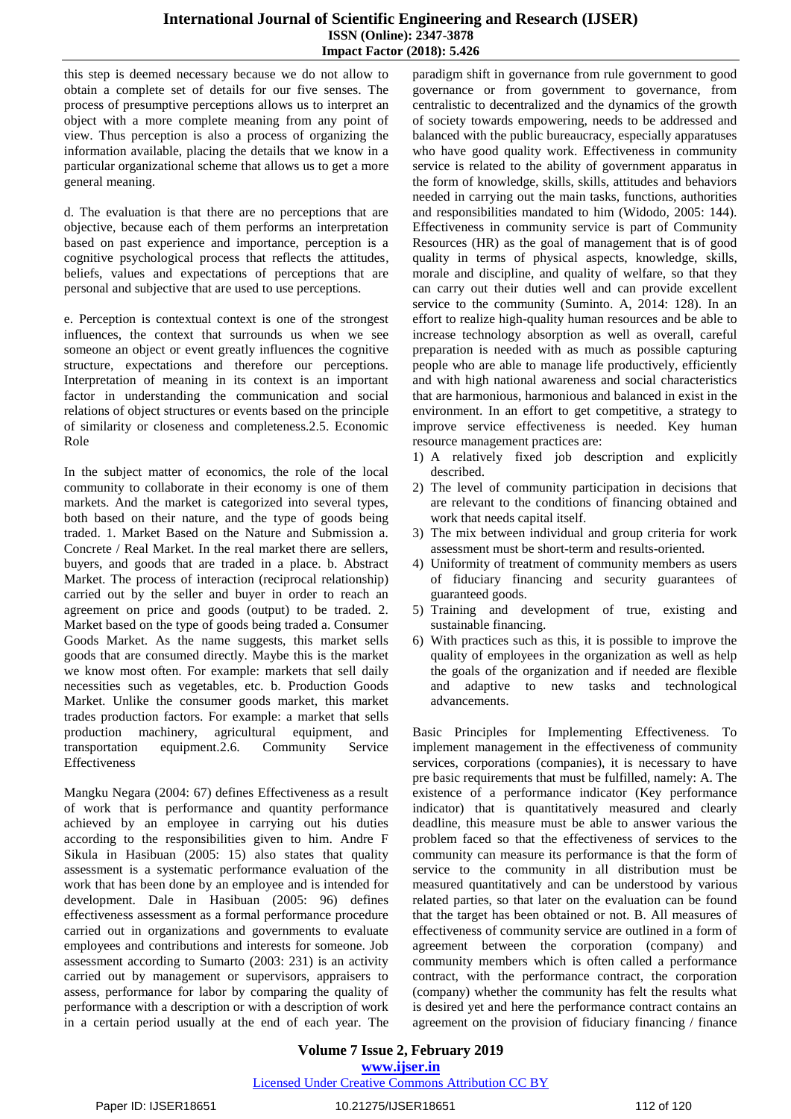this step is deemed necessary because we do not allow to obtain a complete set of details for our five senses. The process of presumptive perceptions allows us to interpret an object with a more complete meaning from any point of view. Thus perception is also a process of organizing the information available, placing the details that we know in a particular organizational scheme that allows us to get a more general meaning.

d. The evaluation is that there are no perceptions that are objective, because each of them performs an interpretation based on past experience and importance, perception is a cognitive psychological process that reflects the attitudes, beliefs, values and expectations of perceptions that are personal and subjective that are used to use perceptions.

e. Perception is contextual context is one of the strongest influences, the context that surrounds us when we see someone an object or event greatly influences the cognitive structure, expectations and therefore our perceptions. Interpretation of meaning in its context is an important factor in understanding the communication and social relations of object structures or events based on the principle of similarity or closeness and completeness.2.5. Economic Role

In the subject matter of economics, the role of the local community to collaborate in their economy is one of them markets. And the market is categorized into several types, both based on their nature, and the type of goods being traded. 1. Market Based on the Nature and Submission a. Concrete / Real Market. In the real market there are sellers, buyers, and goods that are traded in a place. b. Abstract Market. The process of interaction (reciprocal relationship) carried out by the seller and buyer in order to reach an agreement on price and goods (output) to be traded. 2. Market based on the type of goods being traded a. Consumer Goods Market. As the name suggests, this market sells goods that are consumed directly. Maybe this is the market we know most often. For example: markets that sell daily necessities such as vegetables, etc. b. Production Goods Market. Unlike the consumer goods market, this market trades production factors. For example: a market that sells production machinery, agricultural equipment, and transportation equipment.2.6. Community Service Effectiveness

Mangku Negara (2004: 67) defines Effectiveness as a result of work that is performance and quantity performance achieved by an employee in carrying out his duties according to the responsibilities given to him. Andre F Sikula in Hasibuan (2005: 15) also states that quality assessment is a systematic performance evaluation of the work that has been done by an employee and is intended for development. Dale in Hasibuan (2005: 96) defines effectiveness assessment as a formal performance procedure carried out in organizations and governments to evaluate employees and contributions and interests for someone. Job assessment according to Sumarto (2003: 231) is an activity carried out by management or supervisors, appraisers to assess, performance for labor by comparing the quality of performance with a description or with a description of work in a certain period usually at the end of each year. The paradigm shift in governance from rule government to good governance or from government to governance, from centralistic to decentralized and the dynamics of the growth of society towards empowering, needs to be addressed and balanced with the public bureaucracy, especially apparatuses who have good quality work. Effectiveness in community service is related to the ability of government apparatus in the form of knowledge, skills, skills, attitudes and behaviors needed in carrying out the main tasks, functions, authorities and responsibilities mandated to him (Widodo, 2005: 144). Effectiveness in community service is part of Community Resources (HR) as the goal of management that is of good quality in terms of physical aspects, knowledge, skills, morale and discipline, and quality of welfare, so that they can carry out their duties well and can provide excellent service to the community (Suminto. A, 2014: 128). In an effort to realize high-quality human resources and be able to increase technology absorption as well as overall, careful preparation is needed with as much as possible capturing people who are able to manage life productively, efficiently and with high national awareness and social characteristics that are harmonious, harmonious and balanced in exist in the environment. In an effort to get competitive, a strategy to improve service effectiveness is needed. Key human resource management practices are:

- 1) A relatively fixed job description and explicitly described.
- 2) The level of community participation in decisions that are relevant to the conditions of financing obtained and work that needs capital itself.
- 3) The mix between individual and group criteria for work assessment must be short-term and results-oriented.
- 4) Uniformity of treatment of community members as users of fiduciary financing and security guarantees of guaranteed goods.
- 5) Training and development of true, existing and sustainable financing.
- 6) With practices such as this, it is possible to improve the quality of employees in the organization as well as help the goals of the organization and if needed are flexible and adaptive to new tasks and technological advancements.

Basic Principles for Implementing Effectiveness. To implement management in the effectiveness of community services, corporations (companies), it is necessary to have pre basic requirements that must be fulfilled, namely: A. The existence of a performance indicator (Key performance indicator) that is quantitatively measured and clearly deadline, this measure must be able to answer various the problem faced so that the effectiveness of services to the community can measure its performance is that the form of service to the community in all distribution must be measured quantitatively and can be understood by various related parties, so that later on the evaluation can be found that the target has been obtained or not. B. All measures of effectiveness of community service are outlined in a form of agreement between the corporation (company) and community members which is often called a performance contract, with the performance contract, the corporation (company) whether the community has felt the results what is desired yet and here the performance contract contains an agreement on the provision of fiduciary financing / finance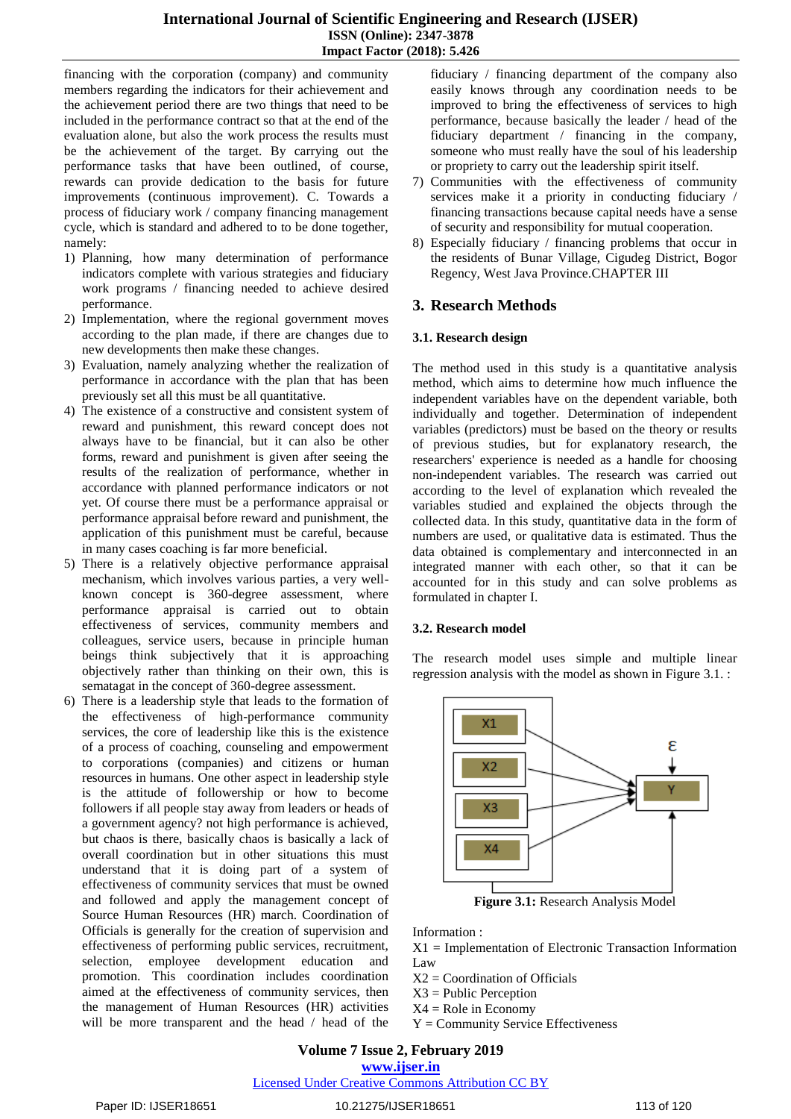financing with the corporation (company) and community members regarding the indicators for their achievement and the achievement period there are two things that need to be included in the performance contract so that at the end of the evaluation alone, but also the work process the results must be the achievement of the target. By carrying out the performance tasks that have been outlined, of course, rewards can provide dedication to the basis for future improvements (continuous improvement). C. Towards a process of fiduciary work / company financing management cycle, which is standard and adhered to to be done together, namely:

- 1) Planning, how many determination of performance indicators complete with various strategies and fiduciary work programs / financing needed to achieve desired performance.
- 2) Implementation, where the regional government moves according to the plan made, if there are changes due to new developments then make these changes.
- 3) Evaluation, namely analyzing whether the realization of performance in accordance with the plan that has been previously set all this must be all quantitative.
- 4) The existence of a constructive and consistent system of reward and punishment, this reward concept does not always have to be financial, but it can also be other forms, reward and punishment is given after seeing the results of the realization of performance, whether in accordance with planned performance indicators or not yet. Of course there must be a performance appraisal or performance appraisal before reward and punishment, the application of this punishment must be careful, because in many cases coaching is far more beneficial.
- 5) There is a relatively objective performance appraisal mechanism, which involves various parties, a very wellknown concept is 360-degree assessment, where performance appraisal is carried out to obtain effectiveness of services, community members and colleagues, service users, because in principle human beings think subjectively that it is approaching objectively rather than thinking on their own, this is sematagat in the concept of 360-degree assessment.
- 6) There is a leadership style that leads to the formation of the effectiveness of high-performance community services, the core of leadership like this is the existence of a process of coaching, counseling and empowerment to corporations (companies) and citizens or human resources in humans. One other aspect in leadership style is the attitude of followership or how to become followers if all people stay away from leaders or heads of a government agency? not high performance is achieved, but chaos is there, basically chaos is basically a lack of overall coordination but in other situations this must understand that it is doing part of a system of effectiveness of community services that must be owned and followed and apply the management concept of Source Human Resources (HR) march. Coordination of Officials is generally for the creation of supervision and effectiveness of performing public services, recruitment, selection, employee development education and promotion. This coordination includes coordination aimed at the effectiveness of community services, then the management of Human Resources (HR) activities will be more transparent and the head / head of the

fiduciary / financing department of the company also easily knows through any coordination needs to be improved to bring the effectiveness of services to high performance, because basically the leader / head of the fiduciary department / financing in the company, someone who must really have the soul of his leadership or propriety to carry out the leadership spirit itself.

- 7) Communities with the effectiveness of community services make it a priority in conducting fiduciary / financing transactions because capital needs have a sense of security and responsibility for mutual cooperation.
- 8) Especially fiduciary / financing problems that occur in the residents of Bunar Village, Cigudeg District, Bogor Regency, West Java Province.CHAPTER III

# **3. Research Methods**

# **3.1. Research design**

The method used in this study is a quantitative analysis method, which aims to determine how much influence the independent variables have on the dependent variable, both individually and together. Determination of independent variables (predictors) must be based on the theory or results of previous studies, but for explanatory research, the researchers' experience is needed as a handle for choosing non-independent variables. The research was carried out according to the level of explanation which revealed the variables studied and explained the objects through the collected data. In this study, quantitative data in the form of numbers are used, or qualitative data is estimated. Thus the data obtained is complementary and interconnected in an integrated manner with each other, so that it can be accounted for in this study and can solve problems as formulated in chapter I.

# **3.2. Research model**

The research model uses simple and multiple linear regression analysis with the model as shown in Figure 3.1. :



**Figure 3.1:** Research Analysis Model

Information :

X1 = Implementation of Electronic Transaction Information Law

- $X2 =$ Coordination of Officials
- X3 = Public Perception
- $X4 =$  Role in Economy
- Y = Community Service Effectiveness

# **Volume 7 Issue 2, February 2019 www.ijser.in**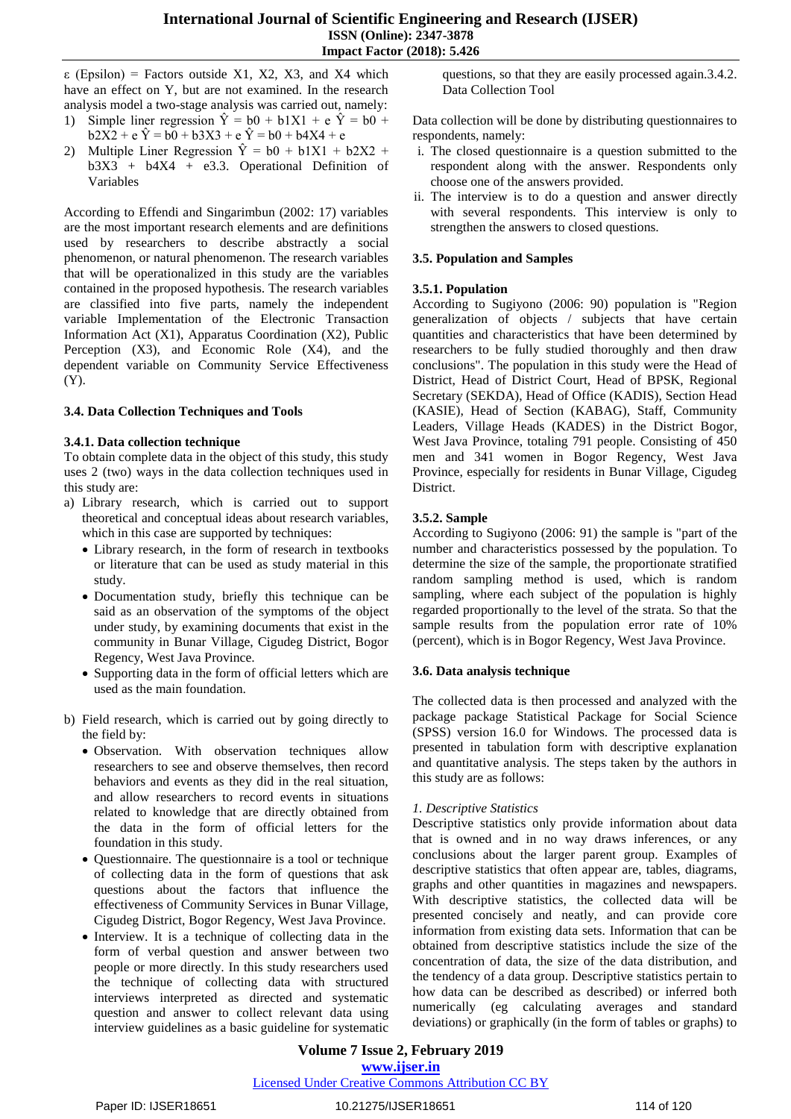ε (Epsilon) = Factors outside X1, X2, X3, and X4 which have an effect on Y, but are not examined. In the research analysis model a two-stage analysis was carried out, namely: 1) Simple liner regression  $\hat{Y} = b0 + b1X1 + e \hat{Y} = b0 + b1X1$ 

- $b2X2 + e \hat{Y} = b0 + b3X3 + e \hat{Y} = b0 + b4X4 + e$
- 2) Multiple Liner Regression  $\hat{Y} = b0 + b1X1 + b2X2 + b3X2$  $b3X3 + b4X4 + e3.3$ . Operational Definition of Variables

According to Effendi and Singarimbun (2002: 17) variables are the most important research elements and are definitions used by researchers to describe abstractly a social phenomenon, or natural phenomenon. The research variables that will be operationalized in this study are the variables contained in the proposed hypothesis. The research variables are classified into five parts, namely the independent variable Implementation of the Electronic Transaction Information Act (X1), Apparatus Coordination (X2), Public Perception (X3), and Economic Role (X4), and the dependent variable on Community Service Effectiveness (Y).

# **3.4. Data Collection Techniques and Tools**

#### **3.4.1. Data collection technique**

To obtain complete data in the object of this study, this study uses 2 (two) ways in the data collection techniques used in this study are:

- a) Library research, which is carried out to support theoretical and conceptual ideas about research variables, which in this case are supported by techniques:
	- Library research, in the form of research in textbooks or literature that can be used as study material in this study.
	- Documentation study, briefly this technique can be said as an observation of the symptoms of the object under study, by examining documents that exist in the community in Bunar Village, Cigudeg District, Bogor Regency, West Java Province.
	- Supporting data in the form of official letters which are used as the main foundation.
- b) Field research, which is carried out by going directly to the field by:
	- Observation. With observation techniques allow researchers to see and observe themselves, then record behaviors and events as they did in the real situation, and allow researchers to record events in situations related to knowledge that are directly obtained from the data in the form of official letters for the foundation in this study.
	- Questionnaire. The questionnaire is a tool or technique of collecting data in the form of questions that ask questions about the factors that influence the effectiveness of Community Services in Bunar Village, Cigudeg District, Bogor Regency, West Java Province.
	- Interview. It is a technique of collecting data in the form of verbal question and answer between two people or more directly. In this study researchers used the technique of collecting data with structured interviews interpreted as directed and systematic question and answer to collect relevant data using interview guidelines as a basic guideline for systematic

questions, so that they are easily processed again.3.4.2. Data Collection Tool

Data collection will be done by distributing questionnaires to respondents, namely:

- i. The closed questionnaire is a question submitted to the respondent along with the answer. Respondents only choose one of the answers provided.
- ii. The interview is to do a question and answer directly with several respondents. This interview is only to strengthen the answers to closed questions.

# **3.5. Population and Samples**

# **3.5.1. Population**

According to Sugiyono (2006: 90) population is "Region generalization of objects / subjects that have certain quantities and characteristics that have been determined by researchers to be fully studied thoroughly and then draw conclusions". The population in this study were the Head of District, Head of District Court, Head of BPSK, Regional Secretary (SEKDA), Head of Office (KADIS), Section Head (KASIE), Head of Section (KABAG), Staff, Community Leaders, Village Heads (KADES) in the District Bogor, West Java Province, totaling 791 people. Consisting of 450 men and 341 women in Bogor Regency, West Java Province, especially for residents in Bunar Village, Cigudeg District.

# **3.5.2. Sample**

According to Sugiyono (2006: 91) the sample is "part of the number and characteristics possessed by the population. To determine the size of the sample, the proportionate stratified random sampling method is used, which is random sampling, where each subject of the population is highly regarded proportionally to the level of the strata. So that the sample results from the population error rate of 10% (percent), which is in Bogor Regency, West Java Province.

#### **3.6. Data analysis technique**

The collected data is then processed and analyzed with the package package Statistical Package for Social Science (SPSS) version 16.0 for Windows. The processed data is presented in tabulation form with descriptive explanation and quantitative analysis. The steps taken by the authors in this study are as follows:

#### *1. Descriptive Statistics*

Descriptive statistics only provide information about data that is owned and in no way draws inferences, or any conclusions about the larger parent group. Examples of descriptive statistics that often appear are, tables, diagrams, graphs and other quantities in magazines and newspapers. With descriptive statistics, the collected data will be presented concisely and neatly, and can provide core information from existing data sets. Information that can be obtained from descriptive statistics include the size of the concentration of data, the size of the data distribution, and the tendency of a data group. Descriptive statistics pertain to how data can be described as described) or inferred both numerically (eg calculating averages and standard deviations) or graphically (in the form of tables or graphs) to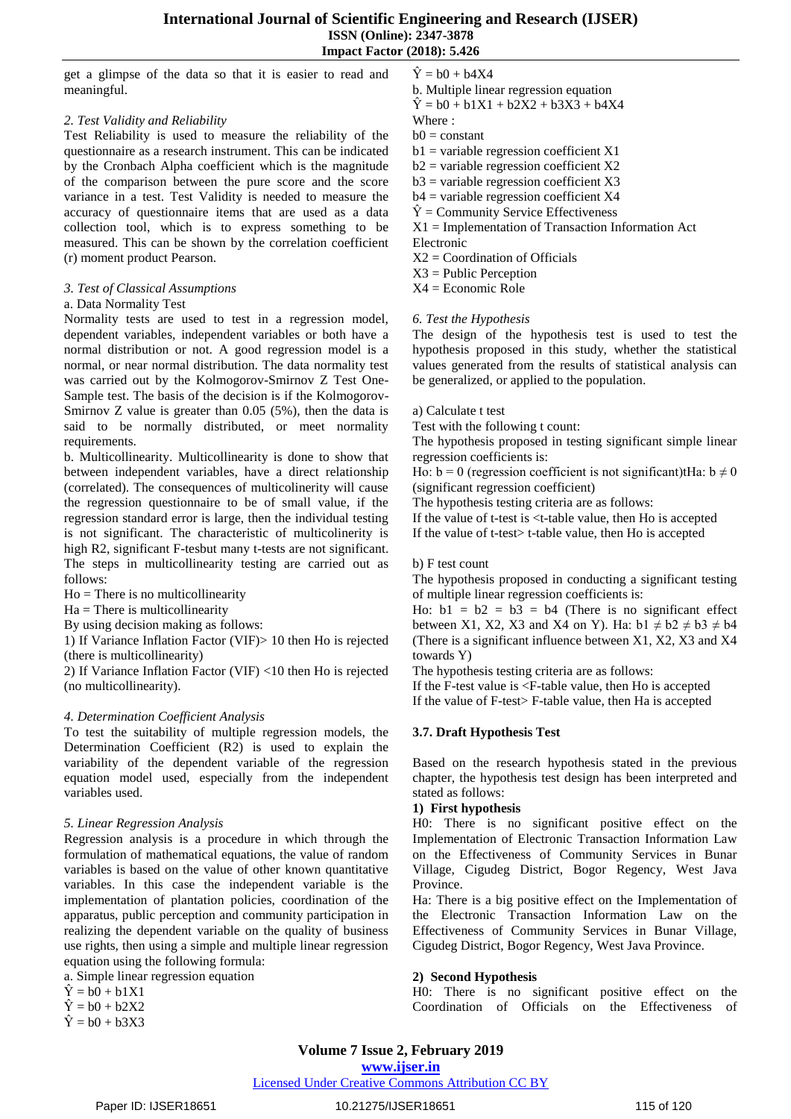get a glimpse of the data so that it is easier to read and meaningful.

#### *2. Test Validity and Reliability*

Test Reliability is used to measure the reliability of the questionnaire as a research instrument. This can be indicated by the Cronbach Alpha coefficient which is the magnitude of the comparison between the pure score and the score variance in a test. Test Validity is needed to measure the accuracy of questionnaire items that are used as a data collection tool, which is to express something to be measured. This can be shown by the correlation coefficient (r) moment product Pearson.

#### *3. Test of Classical Assumptions*

#### a. Data Normality Test

Normality tests are used to test in a regression model, dependent variables, independent variables or both have a normal distribution or not. A good regression model is a normal, or near normal distribution. The data normality test was carried out by the Kolmogorov-Smirnov Z Test One-Sample test. The basis of the decision is if the Kolmogorov-Smirnov Z value is greater than 0.05 (5%), then the data is said to be normally distributed, or meet normality requirements.

b. Multicollinearity. Multicollinearity is done to show that between independent variables, have a direct relationship (correlated). The consequences of multicolinerity will cause the regression questionnaire to be of small value, if the regression standard error is large, then the individual testing is not significant. The characteristic of multicolinerity is high R2, significant F-tesbut many t-tests are not significant. The steps in multicollinearity testing are carried out as follows:

 $Ho = There is no multicollinearity$ 

 $Ha =$ There is multicollinearity

By using decision making as follows:

1) If Variance Inflation Factor (VIF)> 10 then Ho is rejected (there is multicollinearity)

2) If Variance Inflation Factor (VIF) <10 then Ho is rejected (no multicollinearity).

# *4. Determination Coefficient Analysis*

To test the suitability of multiple regression models, the Determination Coefficient (R2) is used to explain the variability of the dependent variable of the regression equation model used, especially from the independent variables used.

#### *5. Linear Regression Analysis*

Regression analysis is a procedure in which through the formulation of mathematical equations, the value of random variables is based on the value of other known quantitative variables. In this case the independent variable is the implementation of plantation policies, coordination of the apparatus, public perception and community participation in realizing the dependent variable on the quality of business use rights, then using a simple and multiple linear regression equation using the following formula:

a. Simple linear regression equation

 $\hat{Y} = b0 + b1X1$ 

 $\hat{Y} = b0 + b2X2$ 

 $\hat{Y} = b0 + b3X3$ 

 $\hat{Y} = b0 + b4X4$ 

- b. Multiple linear regression equation  $\hat{Y} = b0 + b1X1 + b2X2 + b3X3 + b4X4$
- Where :
- $b0 = constant$
- $b1$  = variable regression coefficient X1
- $b2$  = variable regression coefficient X2
- $b3$  = variable regression coefficient X3
- $b4$  = variable regression coefficient X4
- $\hat{Y}$  = Community Service Effectiveness
- X1 = Implementation of Transaction Information Act
- Electronic
- $X2 =$ Coordination of Officials
- X3 = Public Perception

 $X4 = E$ conomic Role

# *6. Test the Hypothesis*

The design of the hypothesis test is used to test the hypothesis proposed in this study, whether the statistical values generated from the results of statistical analysis can be generalized, or applied to the population.

#### a) Calculate t test

Test with the following t count:

The hypothesis proposed in testing significant simple linear regression coefficients is:

Ho:  $b = 0$  (regression coefficient is not significant)tHa:  $b \neq 0$ (significant regression coefficient)

The hypothesis testing criteria are as follows:

If the value of t-test is <t-table value, then Ho is accepted If the value of t-test> t-table value, then Ho is accepted

#### b) F test count

The hypothesis proposed in conducting a significant testing of multiple linear regression coefficients is:

Ho:  $b1 = b2 = b3 = b4$  (There is no significant effect between X1, X2, X3 and X4 on Y). Ha:  $b1 \neq b2 \neq b3 \neq b4$ (There is a significant influence between X1, X2, X3 and X4 towards Y)

The hypothesis testing criteria are as follows:

If the F-test value is <F-table value, then Ho is accepted If the value of F-test> F-table value, then Ha is accepted

# **3.7. Draft Hypothesis Test**

Based on the research hypothesis stated in the previous chapter, the hypothesis test design has been interpreted and stated as follows:

#### **1) First hypothesis**

H0: There is no significant positive effect on the Implementation of Electronic Transaction Information Law on the Effectiveness of Community Services in Bunar Village, Cigudeg District, Bogor Regency, West Java Province.

Ha: There is a big positive effect on the Implementation of the Electronic Transaction Information Law on the Effectiveness of Community Services in Bunar Village, Cigudeg District, Bogor Regency, West Java Province.

#### **2) Second Hypothesis**

H0: There is no significant positive effect on the Coordination of Officials on the Effectiveness of

**www.ijser.in**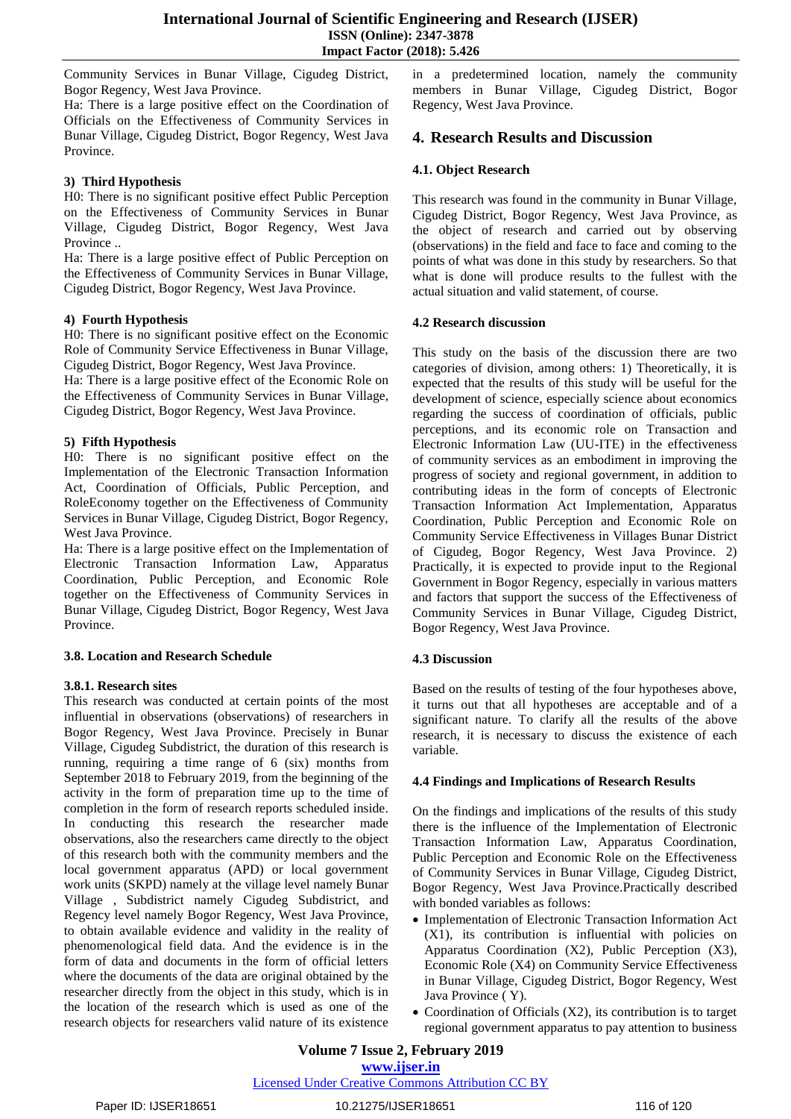Community Services in Bunar Village, Cigudeg District, Bogor Regency, West Java Province.

Ha: There is a large positive effect on the Coordination of Officials on the Effectiveness of Community Services in Bunar Village, Cigudeg District, Bogor Regency, West Java Province.

# **3) Third Hypothesis**

H0: There is no significant positive effect Public Perception on the Effectiveness of Community Services in Bunar Village, Cigudeg District, Bogor Regency, West Java Province ..

Ha: There is a large positive effect of Public Perception on the Effectiveness of Community Services in Bunar Village, Cigudeg District, Bogor Regency, West Java Province.

# **4) Fourth Hypothesis**

H0: There is no significant positive effect on the Economic Role of Community Service Effectiveness in Bunar Village, Cigudeg District, Bogor Regency, West Java Province.

Ha: There is a large positive effect of the Economic Role on the Effectiveness of Community Services in Bunar Village, Cigudeg District, Bogor Regency, West Java Province.

# **5) Fifth Hypothesis**

H0: There is no significant positive effect on the Implementation of the Electronic Transaction Information Act, Coordination of Officials, Public Perception, and RoleEconomy together on the Effectiveness of Community Services in Bunar Village, Cigudeg District, Bogor Regency, West Java Province.

Ha: There is a large positive effect on the Implementation of Electronic Transaction Information Law, Apparatus Coordination, Public Perception, and Economic Role together on the Effectiveness of Community Services in Bunar Village, Cigudeg District, Bogor Regency, West Java Province.

# **3.8. Location and Research Schedule**

# **3.8.1. Research sites**

This research was conducted at certain points of the most influential in observations (observations) of researchers in Bogor Regency, West Java Province. Precisely in Bunar Village, Cigudeg Subdistrict, the duration of this research is running, requiring a time range of 6 (six) months from September 2018 to February 2019, from the beginning of the activity in the form of preparation time up to the time of completion in the form of research reports scheduled inside. In conducting this research the researcher made observations, also the researchers came directly to the object of this research both with the community members and the local government apparatus (APD) or local government work units (SKPD) namely at the village level namely Bunar Village , Subdistrict namely Cigudeg Subdistrict, and Regency level namely Bogor Regency, West Java Province, to obtain available evidence and validity in the reality of phenomenological field data. And the evidence is in the form of data and documents in the form of official letters where the documents of the data are original obtained by the researcher directly from the object in this study, which is in the location of the research which is used as one of the research objects for researchers valid nature of its existence

in a predetermined location, namely the community members in Bunar Village, Cigudeg District, Bogor Regency, West Java Province.

# **4. Research Results and Discussion**

# **4.1. Object Research**

This research was found in the community in Bunar Village, Cigudeg District, Bogor Regency, West Java Province, as the object of research and carried out by observing (observations) in the field and face to face and coming to the points of what was done in this study by researchers. So that what is done will produce results to the fullest with the actual situation and valid statement, of course.

#### **4.2 Research discussion**

This study on the basis of the discussion there are two categories of division, among others: 1) Theoretically, it is expected that the results of this study will be useful for the development of science, especially science about economics regarding the success of coordination of officials, public perceptions, and its economic role on Transaction and Electronic Information Law (UU-ITE) in the effectiveness of community services as an embodiment in improving the progress of society and regional government, in addition to contributing ideas in the form of concepts of Electronic Transaction Information Act Implementation, Apparatus Coordination, Public Perception and Economic Role on Community Service Effectiveness in Villages Bunar District of Cigudeg, Bogor Regency, West Java Province. 2) Practically, it is expected to provide input to the Regional Government in Bogor Regency, especially in various matters and factors that support the success of the Effectiveness of Community Services in Bunar Village, Cigudeg District, Bogor Regency, West Java Province.

#### **4.3 Discussion**

Based on the results of testing of the four hypotheses above, it turns out that all hypotheses are acceptable and of a significant nature. To clarify all the results of the above research, it is necessary to discuss the existence of each variable.

#### **4.4 Findings and Implications of Research Results**

On the findings and implications of the results of this study there is the influence of the Implementation of Electronic Transaction Information Law, Apparatus Coordination, Public Perception and Economic Role on the Effectiveness of Community Services in Bunar Village, Cigudeg District, Bogor Regency, West Java Province.Practically described with bonded variables as follows:

- Implementation of Electronic Transaction Information Act (X1), its contribution is influential with policies on Apparatus Coordination (X2), Public Perception (X3), Economic Role (X4) on Community Service Effectiveness in Bunar Village, Cigudeg District, Bogor Regency, West Java Province ( Y).
- Coordination of Officials (X2), its contribution is to target regional government apparatus to pay attention to business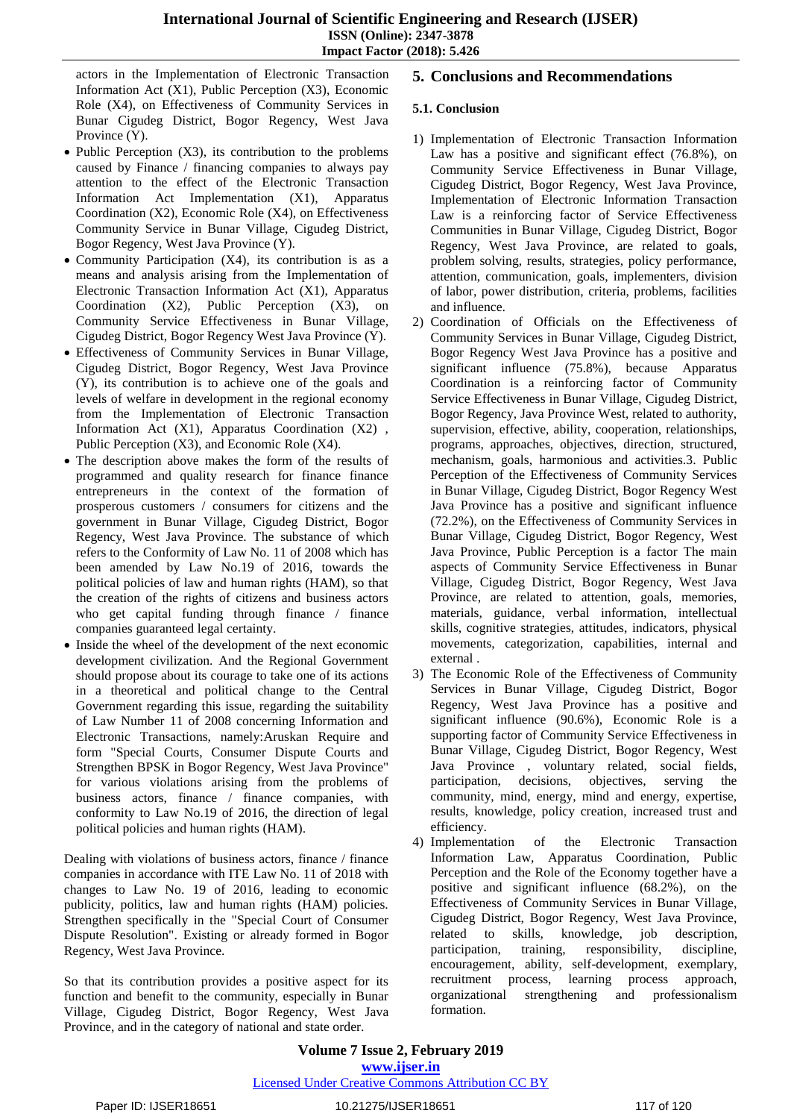actors in the Implementation of Electronic Transaction Information Act (X1), Public Perception (X3), Economic Role (X4), on Effectiveness of Community Services in Bunar Cigudeg District, Bogor Regency, West Java Province (Y).

- $\bullet$  Public Perception (X3), its contribution to the problems caused by Finance / financing companies to always pay attention to the effect of the Electronic Transaction Information Act Implementation (X1), Apparatus Coordination (X2), Economic Role (X4), on Effectiveness Community Service in Bunar Village, Cigudeg District, Bogor Regency, West Java Province (Y).
- $\bullet$  Community Participation (X4), its contribution is as a means and analysis arising from the Implementation of Electronic Transaction Information Act (X1), Apparatus Coordination (X2), Public Perception (X3), on Community Service Effectiveness in Bunar Village, Cigudeg District, Bogor Regency West Java Province (Y).
- Effectiveness of Community Services in Bunar Village, Cigudeg District, Bogor Regency, West Java Province (Y), its contribution is to achieve one of the goals and levels of welfare in development in the regional economy from the Implementation of Electronic Transaction Information Act  $(X1)$ , Apparatus Coordination  $(X2)$ , Public Perception (X3), and Economic Role (X4).
- The description above makes the form of the results of programmed and quality research for finance finance entrepreneurs in the context of the formation of prosperous customers / consumers for citizens and the government in Bunar Village, Cigudeg District, Bogor Regency, West Java Province. The substance of which refers to the Conformity of Law No. 11 of 2008 which has been amended by Law No.19 of 2016, towards the political policies of law and human rights (HAM), so that the creation of the rights of citizens and business actors who get capital funding through finance / finance companies guaranteed legal certainty.
- Inside the wheel of the development of the next economic development civilization. And the Regional Government should propose about its courage to take one of its actions in a theoretical and political change to the Central Government regarding this issue, regarding the suitability of Law Number 11 of 2008 concerning Information and Electronic Transactions, namely:Aruskan Require and form "Special Courts, Consumer Dispute Courts and Strengthen BPSK in Bogor Regency, West Java Province" for various violations arising from the problems of business actors, finance / finance companies, with conformity to Law No.19 of 2016, the direction of legal political policies and human rights (HAM).

Dealing with violations of business actors, finance / finance companies in accordance with ITE Law No. 11 of 2018 with changes to Law No. 19 of 2016, leading to economic publicity, politics, law and human rights (HAM) policies. Strengthen specifically in the "Special Court of Consumer Dispute Resolution". Existing or already formed in Bogor Regency, West Java Province.

So that its contribution provides a positive aspect for its function and benefit to the community, especially in Bunar Village, Cigudeg District, Bogor Regency, West Java Province, and in the category of national and state order.

# **5. Conclusions and Recommendations**

# **5.1. Conclusion**

- 1) Implementation of Electronic Transaction Information Law has a positive and significant effect (76.8%), on Community Service Effectiveness in Bunar Village, Cigudeg District, Bogor Regency, West Java Province, Implementation of Electronic Information Transaction Law is a reinforcing factor of Service Effectiveness Communities in Bunar Village, Cigudeg District, Bogor Regency, West Java Province, are related to goals, problem solving, results, strategies, policy performance, attention, communication, goals, implementers, division of labor, power distribution, criteria, problems, facilities and influence.
- 2) Coordination of Officials on the Effectiveness of Community Services in Bunar Village, Cigudeg District, Bogor Regency West Java Province has a positive and significant influence (75.8%), because Apparatus Coordination is a reinforcing factor of Community Service Effectiveness in Bunar Village, Cigudeg District, Bogor Regency, Java Province West, related to authority, supervision, effective, ability, cooperation, relationships, programs, approaches, objectives, direction, structured, mechanism, goals, harmonious and activities.3. Public Perception of the Effectiveness of Community Services in Bunar Village, Cigudeg District, Bogor Regency West Java Province has a positive and significant influence (72.2%), on the Effectiveness of Community Services in Bunar Village, Cigudeg District, Bogor Regency, West Java Province, Public Perception is a factor The main aspects of Community Service Effectiveness in Bunar Village, Cigudeg District, Bogor Regency, West Java Province, are related to attention, goals, memories, materials, guidance, verbal information, intellectual skills, cognitive strategies, attitudes, indicators, physical movements, categorization, capabilities, internal and external .
- 3) The Economic Role of the Effectiveness of Community Services in Bunar Village, Cigudeg District, Bogor Regency, West Java Province has a positive and significant influence (90.6%), Economic Role is a supporting factor of Community Service Effectiveness in Bunar Village, Cigudeg District, Bogor Regency, West Java Province , voluntary related, social fields, participation, decisions, objectives, serving the community, mind, energy, mind and energy, expertise, results, knowledge, policy creation, increased trust and efficiency.
- 4) Implementation of the Electronic Transaction Information Law, Apparatus Coordination, Public Perception and the Role of the Economy together have a positive and significant influence (68.2%), on the Effectiveness of Community Services in Bunar Village, Cigudeg District, Bogor Regency, West Java Province, related to skills, knowledge, job description, participation, training, responsibility, discipline, encouragement, ability, self-development, exemplary, recruitment process, learning process approach, organizational strengthening and professionalism formation.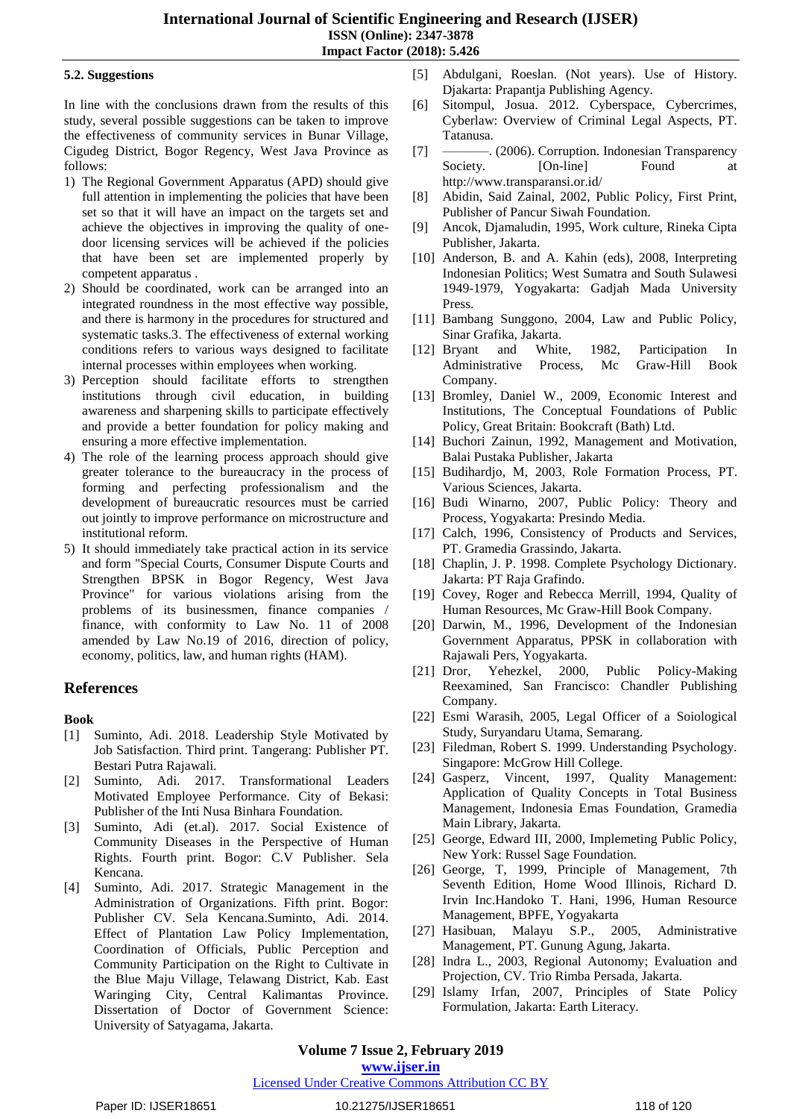#### **5.2. Suggestions**

In line with the conclusions drawn from the results of this study, several possible suggestions can be taken to improve the effectiveness of community services in Bunar Village, Cigudeg District, Bogor Regency, West Java Province as follows:

- 1) The Regional Government Apparatus (APD) should give full attention in implementing the policies that have been set so that it will have an impact on the targets set and achieve the objectives in improving the quality of onedoor licensing services will be achieved if the policies that have been set are implemented properly by competent apparatus .
- 2) Should be coordinated, work can be arranged into an integrated roundness in the most effective way possible, and there is harmony in the procedures for structured and systematic tasks.3. The effectiveness of external working conditions refers to various ways designed to facilitate internal processes within employees when working.
- 3) Perception should facilitate efforts to strengthen institutions through civil education, in building awareness and sharpening skills to participate effectively and provide a better foundation for policy making and ensuring a more effective implementation.
- 4) The role of the learning process approach should give greater tolerance to the bureaucracy in the process of forming and perfecting professionalism and the development of bureaucratic resources must be carried out jointly to improve performance on microstructure and institutional reform.
- 5) It should immediately take practical action in its service and form "Special Courts, Consumer Dispute Courts and Strengthen BPSK in Bogor Regency, West Java Province" for various violations arising from the problems of its businessmen, finance companies / finance, with conformity to Law No. 11 of 2008 amended by Law No.19 of 2016, direction of policy, economy, politics, law, and human rights (HAM).

# **References**

#### **Book**

- [1] Suminto, Adi. 2018. Leadership Style Motivated by Job Satisfaction. Third print. Tangerang: Publisher PT. Bestari Putra Rajawali.
- [2] Suminto, Adi. 2017. Transformational Leaders Motivated Employee Performance. City of Bekasi: Publisher of the Inti Nusa Binhara Foundation.
- [3] Suminto, Adi (et.al). 2017. Social Existence of Community Diseases in the Perspective of Human Rights. Fourth print. Bogor: C.V Publisher. Sela Kencana.
- [4] Suminto, Adi. 2017. Strategic Management in the Administration of Organizations. Fifth print. Bogor: Publisher CV. Sela Kencana.Suminto, Adi. 2014. Effect of Plantation Law Policy Implementation, Coordination of Officials, Public Perception and Community Participation on the Right to Cultivate in the Blue Maju Village, Telawang District, Kab. East Waringing City, Central Kalimantas Province. Dissertation of Doctor of Government Science: University of Satyagama, Jakarta.
- [5] Abdulgani, Roeslan. (Not years). Use of History. Djakarta: Prapantja Publishing Agency.
- [6] Sitompul, Josua. 2012. Cyberspace, Cybercrimes, Cyberlaw: Overview of Criminal Legal Aspects, PT. Tatanusa.
- [7] ——————————. (2006). Corruption. Indonesian Transparency Society. [On-line] Found at http://www.transparansi.or.id/
- [8] Abidin, Said Zainal, 2002, Public Policy, First Print, Publisher of Pancur Siwah Foundation.
- [9] Ancok, Djamaludin, 1995, Work culture, Rineka Cipta Publisher, Jakarta.
- [10] Anderson, B. and A. Kahin (eds), 2008, Interpreting Indonesian Politics; West Sumatra and South Sulawesi 1949-1979, Yogyakarta: Gadjah Mada University Press.
- [11] Bambang Sunggono, 2004, Law and Public Policy, Sinar Grafika, Jakarta.
- [12] Bryant and White, 1982, Participation In Administrative Process, Mc Graw-Hill Book Company.
- [13] Bromley, Daniel W., 2009, Economic Interest and Institutions, The Conceptual Foundations of Public Policy, Great Britain: Bookcraft (Bath) Ltd.
- [14] Buchori Zainun, 1992, Management and Motivation, Balai Pustaka Publisher, Jakarta
- [15] Budihardjo, M, 2003, Role Formation Process, PT. Various Sciences, Jakarta.
- [16] Budi Winarno, 2007, Public Policy: Theory and Process, Yogyakarta: Presindo Media.
- [17] Calch, 1996, Consistency of Products and Services, PT. Gramedia Grassindo, Jakarta.
- [18] Chaplin, J. P. 1998. Complete Psychology Dictionary. Jakarta: PT Raja Grafindo.
- [19] Covey, Roger and Rebecca Merrill, 1994, Quality of Human Resources, Mc Graw-Hill Book Company.
- [20] Darwin, M., 1996, Development of the Indonesian Government Apparatus, PPSK in collaboration with Rajawali Pers, Yogyakarta.
- [21] Dror, Yehezkel, 2000, Public Policy-Making Reexamined, San Francisco: Chandler Publishing Company.
- [22] Esmi Warasih, 2005, Legal Officer of a Soiological Study, Suryandaru Utama, Semarang.
- [23] Filedman, Robert S. 1999. Understanding Psychology. Singapore: McGrow Hill College.
- [24] Gasperz, Vincent, 1997, Quality Management: Application of Quality Concepts in Total Business Management, Indonesia Emas Foundation, Gramedia Main Library, Jakarta.
- [25] George, Edward III, 2000, Implemeting Public Policy, New York: Russel Sage Foundation.
- [26] George, T, 1999, Principle of Management, 7th Seventh Edition, Home Wood Illinois, Richard D. Irvin Inc.Handoko T. Hani, 1996, Human Resource Management, BPFE, Yogyakarta
- [27] Hasibuan, Malayu S.P., 2005, Administrative Management, PT. Gunung Agung, Jakarta.
- [28] Indra L., 2003, Regional Autonomy; Evaluation and Projection, CV. Trio Rimba Persada, Jakarta.
- [29] Islamy Irfan, 2007, Principles of State Policy Formulation, Jakarta: Earth Literacy.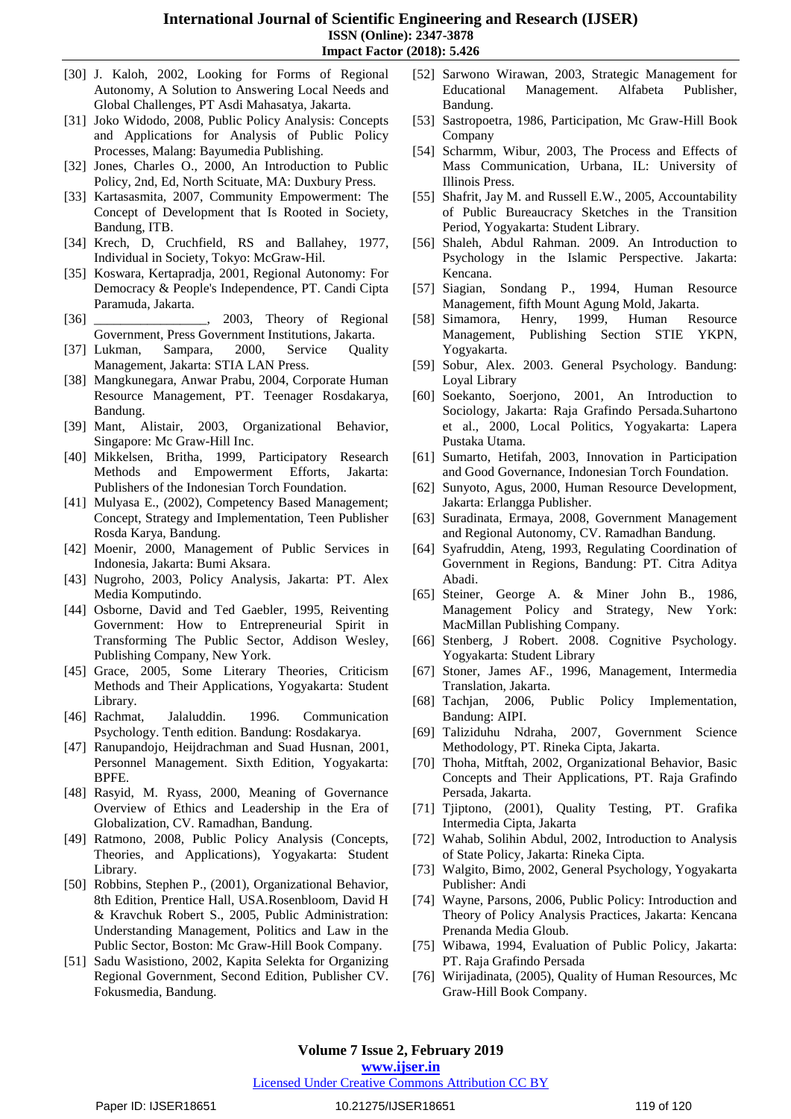- [30] J. Kaloh, 2002, Looking for Forms of Regional Autonomy, A Solution to Answering Local Needs and Global Challenges, PT Asdi Mahasatya, Jakarta.
- [31] Joko Widodo, 2008, Public Policy Analysis: Concepts and Applications for Analysis of Public Policy Processes, Malang: Bayumedia Publishing.
- [32] Jones, Charles O., 2000, An Introduction to Public Policy, 2nd, Ed, North Scituate, MA: Duxbury Press.
- [33] Kartasasmita, 2007, Community Empowerment: The Concept of Development that Is Rooted in Society, Bandung, ITB.
- [34] Krech, D, Cruchfield, RS and Ballahey, 1977, Individual in Society, Tokyo: McGraw-Hil.
- [35] Koswara, Kertapradja, 2001, Regional Autonomy: For Democracy & People's Independence, PT. Candi Cipta Paramuda, Jakarta.
- [36] \_\_\_\_\_\_\_\_\_\_\_\_\_\_\_\_, 2003, Theory of Regional Government, Press Government Institutions, Jakarta.
- [37] Lukman, Sampara, 2000, Service Quality Management, Jakarta: STIA LAN Press.
- [38] Mangkunegara, Anwar Prabu, 2004, Corporate Human Resource Management, PT. Teenager Rosdakarya, Bandung.
- [39] Mant, Alistair, 2003, Organizational Behavior, Singapore: Mc Graw-Hill Inc.
- [40] Mikkelsen, Britha, 1999, Participatory Research Methods and Empowerment Efforts, Jakarta: Publishers of the Indonesian Torch Foundation.
- [41] Mulyasa E., (2002), Competency Based Management; Concept, Strategy and Implementation, Teen Publisher Rosda Karya, Bandung.
- [42] Moenir, 2000, Management of Public Services in Indonesia, Jakarta: Bumi Aksara.
- [43] Nugroho, 2003, Policy Analysis, Jakarta: PT. Alex Media Komputindo.
- [44] Osborne, David and Ted Gaebler, 1995, Reiventing Government: How to Entrepreneurial Spirit in Transforming The Public Sector, Addison Wesley, Publishing Company, New York.
- [45] Grace, 2005, Some Literary Theories, Criticism Methods and Their Applications, Yogyakarta: Student Library.
- [46] Rachmat, Jalaluddin. 1996. Communication Psychology. Tenth edition. Bandung: Rosdakarya.
- [47] Ranupandojo, Heijdrachman and Suad Husnan, 2001, Personnel Management. Sixth Edition, Yogyakarta: BPFE.
- [48] Rasyid, M. Ryass, 2000, Meaning of Governance Overview of Ethics and Leadership in the Era of Globalization, CV. Ramadhan, Bandung.
- [49] Ratmono, 2008, Public Policy Analysis (Concepts, Theories, and Applications), Yogyakarta: Student Library.
- [50] Robbins, Stephen P., (2001), Organizational Behavior, 8th Edition, Prentice Hall, USA.Rosenbloom, David H & Kravchuk Robert S., 2005, Public Administration: Understanding Management, Politics and Law in the Public Sector, Boston: Mc Graw-Hill Book Company.
- [51] Sadu Wasistiono, 2002, Kapita Selekta for Organizing Regional Government, Second Edition, Publisher CV. Fokusmedia, Bandung.
- [52] Sarwono Wirawan, 2003, Strategic Management for Educational Management. Alfabeta Publisher, Bandung.
- [53] Sastropoetra, 1986, Participation, Mc Graw-Hill Book Company
- [54] Scharmm, Wibur, 2003, The Process and Effects of Mass Communication, Urbana, IL: University of Illinois Press.
- [55] Shafrit, Jay M. and Russell E.W., 2005, Accountability of Public Bureaucracy Sketches in the Transition Period, Yogyakarta: Student Library.
- [56] Shaleh, Abdul Rahman. 2009. An Introduction to Psychology in the Islamic Perspective. Jakarta: Kencana.
- [57] Siagian, Sondang P., 1994, Human Resource Management, fifth Mount Agung Mold, Jakarta.
- [58] Simamora, Henry, 1999, Human Resource Management, Publishing Section STIE YKPN, Yogyakarta.
- [59] Sobur, Alex. 2003. General Psychology. Bandung: Loyal Library
- [60] Soekanto, Soerjono, 2001, An Introduction to Sociology, Jakarta: Raja Grafindo Persada.Suhartono et al., 2000, Local Politics, Yogyakarta: Lapera Pustaka Utama.
- [61] Sumarto, Hetifah, 2003, Innovation in Participation and Good Governance, Indonesian Torch Foundation.
- [62] Sunyoto, Agus, 2000, Human Resource Development, Jakarta: Erlangga Publisher.
- [63] Suradinata, Ermaya, 2008, Government Management and Regional Autonomy, CV. Ramadhan Bandung.
- [64] Syafruddin, Ateng, 1993, Regulating Coordination of Government in Regions, Bandung: PT. Citra Aditya Abadi.
- [65] Steiner, George A. & Miner John B., 1986, Management Policy and Strategy, New York: MacMillan Publishing Company.
- [66] Stenberg, J Robert. 2008. Cognitive Psychology. Yogyakarta: Student Library
- [67] Stoner, James AF., 1996, Management, Intermedia Translation, Jakarta.
- [68] Tachjan, 2006, Public Policy Implementation, Bandung: AIPI.
- [69] Taliziduhu Ndraha, 2007, Government Science Methodology, PT. Rineka Cipta, Jakarta.
- [70] Thoha, Mitftah, 2002, Organizational Behavior, Basic Concepts and Their Applications, PT. Raja Grafindo Persada, Jakarta.
- [71] Tjiptono, (2001), Quality Testing, PT. Grafika Intermedia Cipta, Jakarta
- [72] Wahab, Solihin Abdul, 2002, Introduction to Analysis of State Policy, Jakarta: Rineka Cipta.
- [73] Walgito, Bimo, 2002, General Psychology, Yogyakarta Publisher: Andi
- [74] Wayne, Parsons, 2006, Public Policy: Introduction and Theory of Policy Analysis Practices, Jakarta: Kencana Prenanda Media Gloub.
- [75] Wibawa, 1994, Evaluation of Public Policy, Jakarta: PT. Raja Grafindo Persada
- [76] Wirijadinata, (2005), Quality of Human Resources, Mc Graw-Hill Book Company.

**www.ijser.in** Licensed Under Creative Commons Attribution CC BY